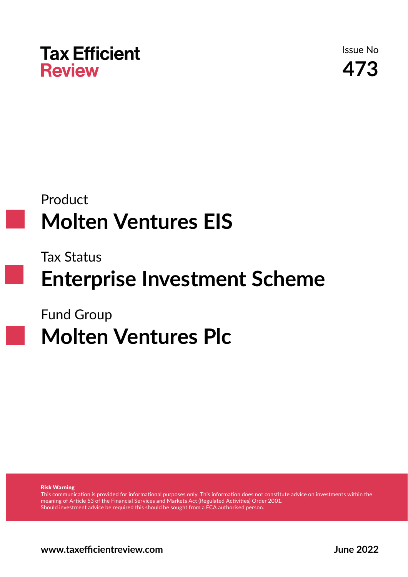

Issue No **473**

## Product **Molten Ventures EIS**

Tax Status

## **Enterprise Investment Scheme**

Fund Group

# **Molten Ventures Plc**

Risk Warning

This communication is provided for informational purposes only. This information does not constitute advice on investments within the meaning of Article 53 of the Financial Services and Markets Act (Regulated Activities) Order 2001. Should investment advice be required this should be sought from a FCA authorised person.

**www.taxeffi cientreview.com June 2022**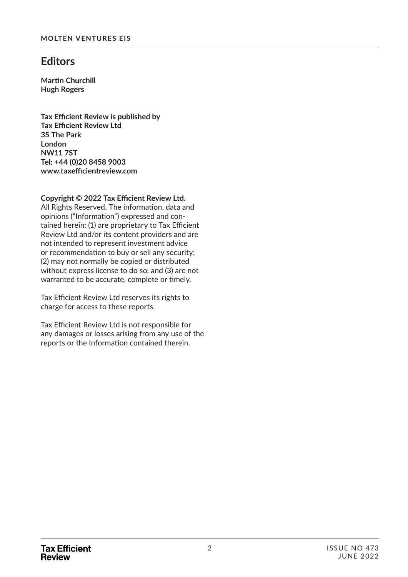### **Editors**

**Martin Churchill Hugh Rogers**

**Tax Effi cient Review is published by Tax Effi cient Review Ltd 35 The Park London NW11 7ST Tel: +44 (0)20 8458 9003 www.taxeffi cientreview.com**

### Copyright © 2022 Tax Efficient Review Ltd.

All Rights Reserved. The information, data and opinions ("Information") expressed and contained herein: (1) are proprietary to Tax Efficient Review Ltd and/or its content providers and are not intended to represent investment advice or recommendation to buy or sell any security; (2) may not normally be copied or distributed without express license to do so; and (3) are not warranted to be accurate, complete or timely.

Tax Efficient Review Ltd reserves its rights to charge for access to these reports.

Tax Efficient Review Ltd is not responsible for any damages or losses arising from any use of the reports or the Information contained therein.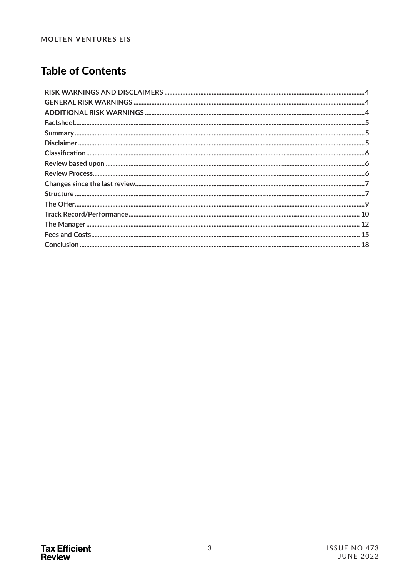### **Table of Contents**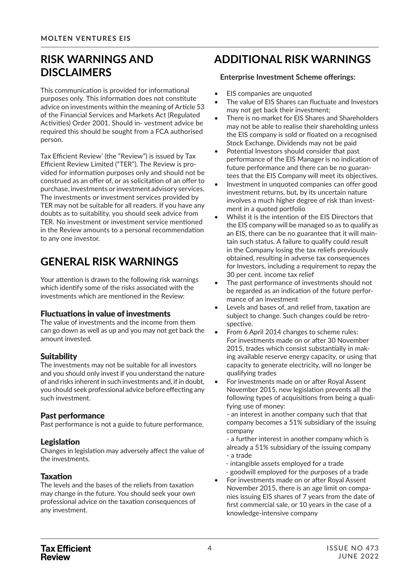### **RISK WARNINGS AND DISCLAIMERS**

This communication is provided for informational purposes only. This information does not constitute advice on investments within the meaning of Article 53 of the Financial Services and Markets Act (Regulated Activities) Order 2001. Should in- vestment advice be required this should be sought from a FCA authorised person.

Tax Efficient Review' (the "Review") is issued by Tax Efficient Review Limited ("TER"). The Review is provided for information purposes only and should not be construed as an offer of, or as solicitation of an offer to purchase, investments or investment advisory services. The investments or investment services provided by TER may not be suitable for all readers. If you have any doubts as to suitability, you should seek advice from TER. No investment or investment service mentioned in the Review amounts to a personal recommendation to any one investor.

### **GENERAL RISK WARNINGS**

Your attention is drawn to the following risk warnings which identify some of the risks associated with the investments which are mentioned in the Review:

### Fluctuations in value of investments

The value of investments and the income from them can go down as well as up and you may not get back the amount invested.

### **Suitability**

The investments may not be suitable for all investors and you should only invest if you understand the nature of and risks inherent in such investments and, if in doubt, you should seek professional advice before effecting any such investment.

### Past performance

Past performance is not a guide to future performance.

### Legislation

Changes in legislation may adversely affect the value of the investments.

### **Taxation**

The levels and the bases of the reliefs from taxation may change in the future. You should seek your own professional advice on the taxation consequences of any investment.

### **ADDITIONAL RISK WARNINGS**

### **Enterprise Investment Scheme offerings:**

- EIS companies are unquoted
- The value of EIS Shares can fluctuate and Investors may not get back their investment;
- There is no market for EIS Shares and Shareholders may not be able to realise their shareholding unless the EIS company is sold or floated on a recognised Stock Exchange. Dividends may not be paid
- Potential Investors should consider that past performance of the EIS Manager is no indication of future performance and there can be no guarantees that the EIS Company will meet its objectives.
- Investment in unquoted companies can offer good investment returns, but, by its uncertain nature involves a much higher degree of risk than investment in a quoted portfolio
- Whilst it is the intention of the EIS Directors that the EIS company will be managed so as to qualify as an EIS, there can be no guarantee that it will maintain such status. A failure to qualify could result in the Company losing the tax reliefs previously obtained, resulting in adverse tax consequences for Investors, including a requirement to repay the 30 per cent. income tax relief
- The past performance of investments should not be regarded as an indication of the future performance of an investment
- Levels and bases of, and relief from, taxation are subject to change. Such changes could be retrospective.
- From 6 April 2014 changes to scheme rules: For investments made on or after 30 November 2015, trades which consist substantially in making available reserve energy capacity, or using that capacity to generate electricity, will no longer be qualifying trades
- For investments made on or after Royal Assent November 2015, new legislation prevents all the following types of acquisitions from being a qualifying use of money:

- an interest in another company such that that company becomes a 51% subsidiary of the issuing company

- a further interest in another company which is already a 51% subsidiary of the issuing company - a trade

- intangible assets employed for a trade
- goodwill employed for the purposes of a trade
- For investments made on or after Royal Assent November 2015, there is an age limit on companies issuing EIS shares of 7 years from the date of first commercial sale, or 10 years in the case of a knowledge-intensive company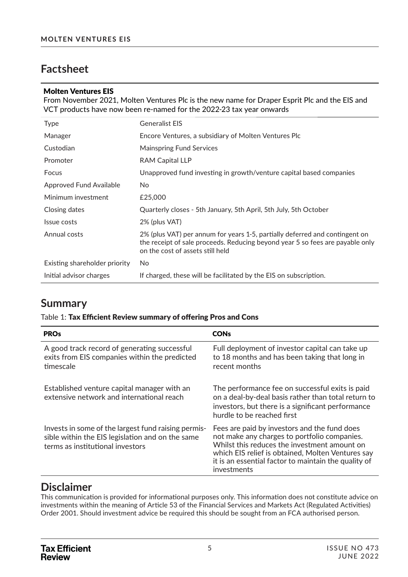### **Factsheet**

#### Molten Ventures EIS

From November 2021, Molten Ventures Plc is the new name for Draper Esprit Plc and the EIS and VCT products have now been re-named for the 2022-23 tax year onwards

| <b>Type</b>                    | <b>Generalist EIS</b>                                                                                                                                                                            |
|--------------------------------|--------------------------------------------------------------------------------------------------------------------------------------------------------------------------------------------------|
| Manager                        | Encore Ventures, a subsidiary of Molten Ventures Plc                                                                                                                                             |
| Custodian                      | <b>Mainspring Fund Services</b>                                                                                                                                                                  |
| Promoter                       | <b>RAM Capital LLP</b>                                                                                                                                                                           |
| Focus                          | Unapproved fund investing in growth/venture capital based companies                                                                                                                              |
| <b>Approved Fund Available</b> | No.                                                                                                                                                                                              |
| Minimum investment             | £25,000                                                                                                                                                                                          |
| Closing dates                  | Quarterly closes - 5th January, 5th April, 5th July, 5th October                                                                                                                                 |
| Issue costs                    | 2% (plus VAT)                                                                                                                                                                                    |
| Annual costs                   | 2% (plus VAT) per annum for years 1-5, partially deferred and contingent on<br>the receipt of sale proceeds. Reducing beyond year 5 so fees are payable only<br>on the cost of assets still held |
| Existing shareholder priority  | N <sub>o</sub>                                                                                                                                                                                   |
| Initial advisor charges        | If charged, these will be facilitated by the EIS on subscription.                                                                                                                                |

### **Summary**

### Table 1: Tax Efficient Review summary of offering Pros and Cons

| <b>PROs</b>                                                                                                                                 | <b>CONs</b>                                                                                                                                                                                                                                                              |
|---------------------------------------------------------------------------------------------------------------------------------------------|--------------------------------------------------------------------------------------------------------------------------------------------------------------------------------------------------------------------------------------------------------------------------|
| A good track record of generating successful<br>exits from EIS companies within the predicted<br>timescale                                  | Full deployment of investor capital can take up<br>to 18 months and has been taking that long in<br>recent months                                                                                                                                                        |
| Established venture capital manager with an<br>extensive network and international reach                                                    | The performance fee on successful exits is paid<br>on a deal-by-deal basis rather than total return to<br>investors, but there is a significant performance<br>hurdle to be reached first                                                                                |
| Invests in some of the largest fund raising permis-<br>sible within the EIS legislation and on the same<br>terms as institutional investors | Fees are paid by investors and the fund does<br>not make any charges to portfolio companies.<br>Whilst this reduces the investment amount on<br>which EIS relief is obtained, Molten Ventures say<br>it is an essential factor to maintain the quality of<br>investments |

### **Disclaimer**

This communication is provided for informational purposes only. This information does not constitute advice on investments within the meaning of Article 53 of the Financial Services and Markets Act (Regulated Activities) Order 2001. Should investment advice be required this should be sought from an FCA authorised person.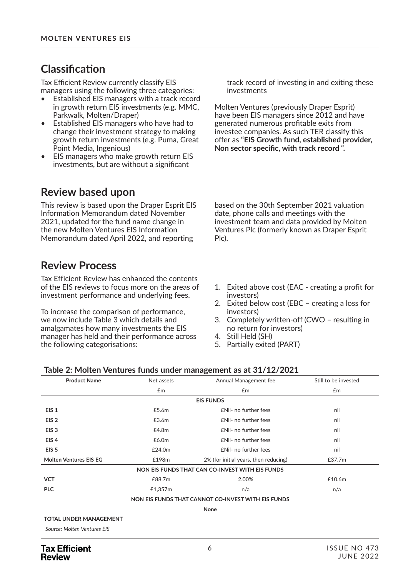### $Cl$ assification

Tax Efficient Review currently classify EIS managers using the following three categories:

- Established EIS managers with a track record in growth return EIS investments (e.g. MMC, Parkwalk, Molten/Draper)
- Established EIS managers who have had to change their investment strategy to making growth return investments (e.g. Puma, Great Point Media, Ingenious)
- EIS managers who make growth return EIS investments, but are without a significant

### **Review based upon**

This review is based upon the Draper Esprit EIS Information Memorandum dated November 2021, updated for the fund name change in the new Molten Ventures EIS Information Memorandum dated April 2022, and reporting

### **Review Process**

Tax Efficient Review has enhanced the contents of the EIS reviews to focus more on the areas of investment performance and underlying fees.

To increase the comparison of performance, we now include Table 3 which details and amalgamates how many investments the EIS manager has held and their performance across the following categorisations:

track record of investing in and exiting these investments

Molten Ventures (previously Draper Esprit) have been EIS managers since 2012 and have generated numerous profitable exits from investee companies. As such TER classify this offer as "**EIS Growth fund, established provider,** Non sector specific, with track record ".

based on the 30th September 2021 valuation date, phone calls and meetings with the investment team and data provided by Molten Ventures Plc (formerly known as Draper Esprit Plc).

- 1. Exited above cost (EAC creating a profit for investors)
- 2. Exited below cost (EBC creating a loss for investors)
- 3. Completely written-off (CWO resulting in no return for investors)
- 4. Still Held (SH)
- 5. Partially exited (PART)

### **Table 2: Molten Ventures funds under management as at 31/12/2021**

| <b>Product Name</b>           | Net assets | Annual Management fee                              | Still to be invested |
|-------------------------------|------------|----------------------------------------------------|----------------------|
|                               | Em         | Em                                                 | £m                   |
|                               |            | <b>EIS FUNDS</b>                                   |                      |
| EIS <sub>1</sub>              | £5.6m      | £Nil- no further fees                              | nil                  |
| EIS <sub>2</sub>              | £3.6m      | £Nil- no further fees                              | nil                  |
| EIS <sub>3</sub>              | £4.8m      | <b>£Nil-</b> no further fees                       | nil                  |
| EIS <sub>4</sub>              | £6.0m      | <b>£Nil-</b> no further fees                       | nil                  |
| EIS <sub>5</sub>              | £24.0m     | £Nil- no further fees                              | nil                  |
| <b>Molten Ventures EIS EG</b> | £198m      | 2% (for initial years, then reducing)              | £37.7m               |
|                               |            | NON EIS FUNDS THAT CAN CO-INVEST WITH EIS FUNDS    |                      |
| <b>VCT</b>                    | £88.7m     | 2.00%                                              | £10.6m               |
| <b>PLC</b>                    | £1,357m    | n/a                                                | n/a                  |
|                               |            | NON EIS FUNDS THAT CANNOT CO-INVEST WITH EIS FUNDS |                      |
|                               |            | None                                               |                      |
| <b>TOTAL UNDER MANAGEMENT</b> |            |                                                    |                      |
| Source: Molten Ventures EIS   |            |                                                    |                      |
|                               |            |                                                    |                      |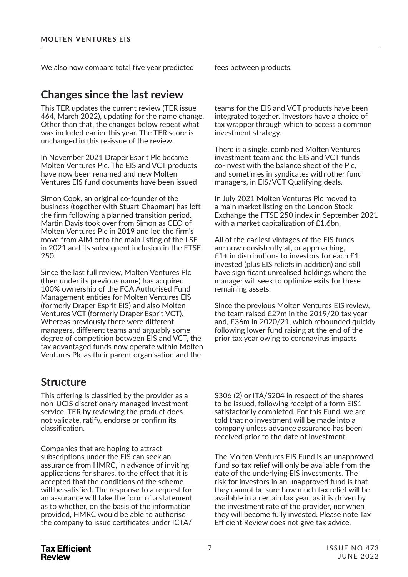We also now compare total five year predicted fees between products.

### **Changes since the last review**

This TER updates the current review (TER issue 464, March 2022), updating for the name change. Other than that, the changes below repeat what was included earlier this year. The TER score is unchanged in this re-issue of the review.

In November 2021 Draper Esprit Plc became Molten Ventures Plc. The EIS and VCT products have now been renamed and new Molten Ventures EIS fund documents have been issued

Simon Cook, an original co-founder of the business (together with Stuart Chapman) has left the firm following a planned transition period. Martin Davis took over from Simon as CEO of Molten Ventures Plc in 2019 and led the firm's move from AIM onto the main listing of the LSE in 2021 and its subsequent inclusion in the FTSE 250.

Since the last full review, Molten Ventures Plc (then under its previous name) has acquired 100% ownership of the FCA Authorised Fund Management entities for Molten Ventures EIS (formerly Draper Esprit EIS) and also Molten Ventures VCT (formerly Draper Esprit VCT). Whereas previously there were different managers, different teams and arguably some degree of competition between EIS and VCT, the tax advantaged funds now operate within Molten Ventures Plc as their parent organisation and the

### **Structure**

This offering is classified by the provider as a non-UCIS discretionary managed investment service. TER by reviewing the product does not validate, ratify, endorse or confirm its classification.

Companies that are hoping to attract subscriptions under the EIS can seek an assurance from HMRC, in advance of inviting applications for shares, to the effect that it is accepted that the conditions of the scheme will be satisfied. The response to a request for an assurance will take the form of a statement as to whether, on the basis of the information provided, HMRC would be able to authorise the company to issue certificates under ICTA/

teams for the EIS and VCT products have been integrated together. Investors have a choice of tax wrapper through which to access a common investment strategy.

There is a single, combined Molten Ventures investment team and the EIS and VCT funds co-invest with the balance sheet of the Plc, and sometimes in syndicates with other fund managers, in EIS/VCT Qualifying deals.

In July 2021 Molten Ventures Plc moved to a main market listing on the London Stock Exchange the FTSE 250 index in September 2021 with a market capitalization of £1.6bn.

All of the earliest vintages of the EIS funds are now consistently at, or approaching, £1+ in distributions to investors for each £1 invested (plus EIS reliefs in addition) and still have significant unrealised holdings where the manager will seek to optimize exits for these remaining assets.

Since the previous Molten Ventures EIS review, the team raised £27m in the 2019/20 tax year and, £36m in 2020/21, which rebounded quickly following lower fund raising at the end of the prior tax year owing to coronavirus impacts

S306 (2) or ITA/S204 in respect of the shares to be issued, following receipt of a form EIS1 satisfactorily completed. For this Fund, we are told that no investment will be made into a company unless advance assurance has been received prior to the date of investment.

The Molten Ventures EIS Fund is an unapproved fund so tax relief will only be available from the date of the underlying EIS investments. The risk for investors in an unapproved fund is that they cannot be sure how much tax relief will be available in a certain tax year, as it is driven by the investment rate of the provider, nor when they will become fully invested. Please note Tax Efficient Review does not give tax advice.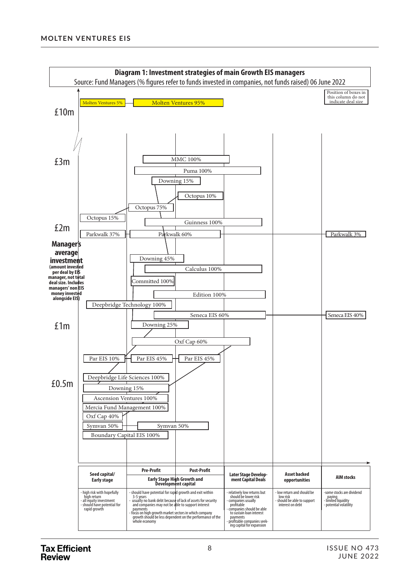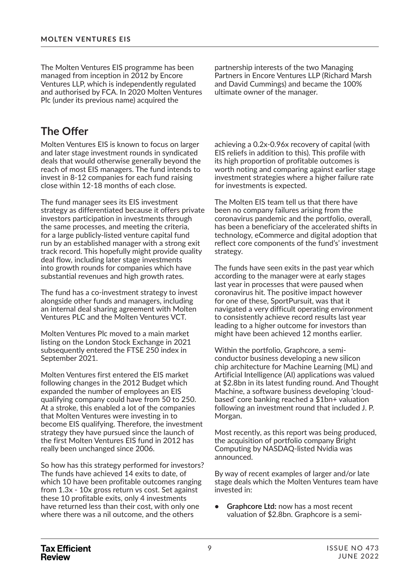The Molten Ventures EIS programme has been managed from inception in 2012 by Encore Ventures LLP, which is independently regulated and authorised by FCA. In 2020 Molten Ventures Plc (under its previous name) acquired the

**The Offer** 

Molten Ventures EIS is known to focus on larger and later stage investment rounds in syndicated deals that would otherwise generally beyond the reach of most EIS managers. The fund intends to invest in 8-12 companies for each fund raising close within 12-18 months of each close.

The fund manager sees its EIS investment strategy as differentiated because it offers private investors participation in investments through the same processes, and meeting the criteria, for a large publicly-listed venture capital fund run by an established manager with a strong exit track record. This hopefully might provide quality deal flow, including later stage investments into growth rounds for companies which have substantial revenues and high growth rates.

The fund has a co-investment strategy to invest alongside other funds and managers, including an internal deal sharing agreement with Molten Ventures PLC and the Molten Ventures VCT.

Molten Ventures Plc moved to a main market listing on the London Stock Exchange in 2021 subsequently entered the FTSE 250 index in September 2021.

Molten Ventures first entered the EIS market following changes in the 2012 Budget which expanded the number of employees an EIS qualifying company could have from 50 to 250. At a stroke, this enabled a lot of the companies that Molten Ventures were investing in to become EIS qualifying. Therefore, the investment strategy they have pursued since the launch of the first Molten Ventures EIS fund in 2012 has really been unchanged since 2006.

So how has this strategy performed for investors? The funds have achieved 14 exits to date, of which 10 have been profitable outcomes ranging from 1.3x - 10x gross return vs cost. Set against these 10 profitable exits, only 4 investments have returned less than their cost, with only one where there was a nil outcome, and the others

partnership interests of the two Managing Partners in Encore Ventures LLP (Richard Marsh and David Cummings) and became the 100% ultimate owner of the manager.

achieving a 0.2x-0.96x recovery of capital (with EIS reliefs in addition to this). This profile with its high proportion of profitable outcomes is worth noting and comparing against earlier stage investment strategies where a higher failure rate for investments is expected.

The Molten EIS team tell us that there have been no company failures arising from the coronavirus pandemic and the portfolio, overall, has been a beneficiary of the accelerated shifts in technology, eCommerce and digital adoption that reflect core components of the fund's' investment strategy.

The funds have seen exits in the past year which according to the manager were at early stages last year in processes that were paused when coronavirus hit. The positive impact however for one of these, SportPursuit, was that it navigated a very difficult operating environment to consistently achieve record results last year leading to a higher outcome for investors than might have been achieved 12 months earlier.

Within the portfolio, Graphcore, a semiconductor business developing a new silicon chip architecture for Machine Learning (ML) and Artificial Intelligence (AI) applications was valued at \$2.8bn in its latest funding round. And Thought Machine, a software business developing 'cloudbased' core banking reached a \$1bn+ valuation following an investment round that included J. P. Morgan.

Most recently, as this report was being produced, the acquisition of portfolio company Bright Computing by NASDAQ-listed Nvidia was announced.

By way of recent examples of larger and/or late stage deals which the Molten Ventures team have invested in:

**• Graphcore Ltd:** now has a most recent valuation of \$2.8bn. Graphcore is a semi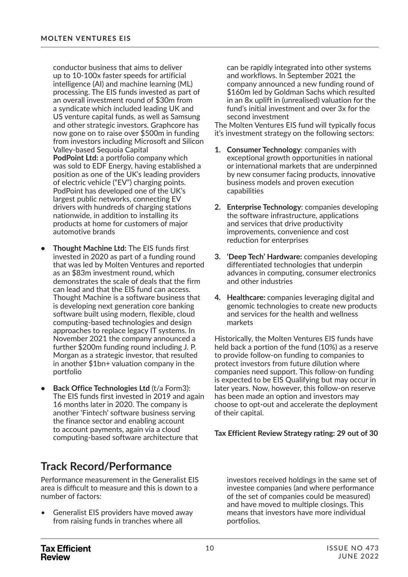conductor business that aims to deliver up to 10-100x faster speeds for artificial intelligence (AI) and machine learning (ML) processing. The EIS funds invested as part of an overall investment round of \$30m from a syndicate which included leading UK and US venture capital funds, as well as Samsung and other strategic investors. Graphcore has now gone on to raise over \$500m in funding from investors including Microsoft and Silicon Valley-based Sequoia Capital **PodPoint Ltd:** a portfolio company which was sold to EDF Energy, having established a position as one of the UK's leading providers of electric vehicle ("EV") charging points. PodPoint has developed one of the UK's largest public networks, connecting EV drivers with hundreds of charging stations nationwide, in addition to installing its products at home for customers of major automotive brands

- **Thought Machine Ltd:** The EIS funds first invested in 2020 as part of a funding round that was led by Molten Ventures and reported as an \$83m investment round, which demonstrates the scale of deals that the firm can lead and that the EIS fund can access. Thought Machine is a software business that is developing next generation core banking software built using modern, flexible, cloud computing-based technologies and design approaches to replace legacy IT systems. In November 2021 the company announced a further \$200m funding round including J. P. Morgan as a strategic investor, that resulted in another \$1bn+ valuation company in the portfolio
- **Back Office Technologies Ltd** (t/a Form3): The EIS funds first invested in 2019 and again 16 months later in 2020. The company is another 'Fintech' software business serving the finance sector and enabling account to account payments, again via a cloud computing-based software architecture that

### **Track Record/Performance**

Performance measurement in the Generalist EIS area is difficult to measure and this is down to a number of factors:

• Generalist EIS providers have moved away from raising funds in tranches where all

can be rapidly integrated into other systems and workflows. In September 2021 the company announced a new funding round of \$160m led by Goldman Sachs which resulted in an 8x uplift in (unrealised) valuation for the fund's initial investment and over 3x for the second investment

The Molten Ventures EIS fund will typically focus it's investment strategy on the following sectors:

- **1. Consumer Technology**: companies with exceptional growth opportunities in national or international markets that are underpinned by new consumer facing products, innovative business models and proven execution capabilities
- **2. Enterprise Technology**: companies developing the software infrastructure, applications and services that drive productivity improvements, convenience and cost reduction for enterprises
- **3. 'Deep Tech' Hardware:** companies developing differentiated technologies that underpin advances in computing, consumer electronics and other industries
- **4. Healthcare:** companies leveraging digital and genomic technologies to create new products and services for the health and wellness markets

Historically, the Molten Ventures EIS funds have held back a portion of the fund (10%) as a reserve to provide follow-on funding to companies to protect investors from future dilution where companies need support. This follow-on funding is expected to be EIS Qualifying but may occur in later years. Now, however, this follow-on reserve has been made an option and investors may choose to opt-out and accelerate the deployment of their capital.

**Tax Efficient Review Strategy rating: 29 out of 30**

investors received holdings in the same set of investee companies (and where performance of the set of companies could be measured) and have moved to multiple closings. This means that investors have more individual portfolios.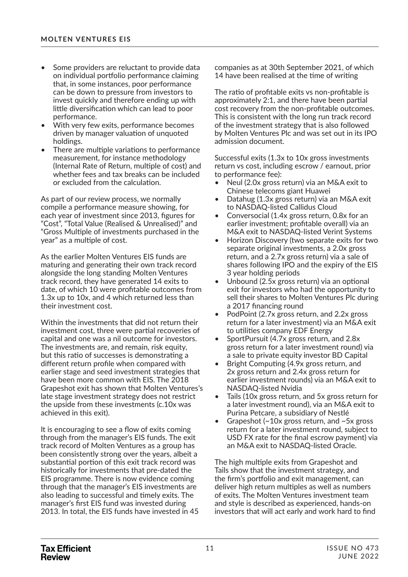- Some providers are reluctant to provide data on individual portfolio performance claiming that, in some instances, poor performance can be down to pressure from investors to invest quickly and therefore ending up with little diversification which can lead to poor performance.
- With very few exits, performance becomes driven by manager valuation of unquoted holdings.
- There are multiple variations to performance measurement, for instance methodology (Internal Rate of Return, multiple of cost) and whether fees and tax breaks can be included or excluded from the calculation.

As part of our review process, we normally compile a performance measure showing, for each year of investment since 2013, figures for "Cost", "Total Value (Realised & Unrealised)" and "Gross Multiple of investments purchased in the year" as a multiple of cost.

As the earlier Molten Ventures EIS funds are maturing and generating their own track record alongside the long standing Molten Ventures track record, they have generated 14 exits to date, of which 10 were profitable outcomes from 1.3x up to 10x, and 4 which returned less than their investment cost.

Within the investments that did not return their investment cost, three were partial recoveries of capital and one was a nil outcome for investors. The investments are, and remain, risk equity, but this ratio of successes is demonstrating a different return profile when compared with earlier stage and seed investment strategies that have been more common with EIS. The 2018 Grapeshot exit has shown that Molten Ventures's late stage investment strategy does not restrict the upside from these investments (c.10x was achieved in this exit).

It is encouraging to see a flow of exits coming through from the manager's EIS funds. The exit track record of Molten Ventures as a group has been consistently strong over the years, albeit a substantial portion of this exit track record was historically for investments that pre-dated the EIS programme. There is now evidence coming through that the manager's EIS investments are also leading to successful and timely exits. The manager's first EIS fund was invested during 2013. In total, the EIS funds have invested in 45 companies as at 30th September 2021, of which 14 have been realised at the time of writing

The ratio of profitable exits vs non-profitable is approximately 2:1, and there have been partial cost recovery from the non-profitable outcomes. This is consistent with the long run track record of the investment strategy that is also followed by Molten Ventures Plc and was set out in its IPO admission document.

Successful exits (1.3x to 10x gross investments return vs cost, including escrow / earnout, prior to performance fee):

- Neul (2.0x gross return) via an M&A exit to Chinese telecoms giant Huawei
- Datahug (1.3x gross return) via an M&A exit to NASDAQ-listed Callidus Cloud
- Conversocial (1.4x gross return, 0.8x for an earlier investment; profitable overall) via an M&A exit to NASDAQ-listed Verint Systems
- Horizon Discovery (two separate exits for two separate original investments, a 2.0x gross return, and a 2.7x gross return) via a sale of shares following IPO and the expiry of the EIS 3 year holding periods
- Unbound  $(2.5x$  gross return) via an optional exit for investors who had the opportunity to sell their shares to Molten Ventures Plc during a 2017 financing round
- PodPoint (2.7x gross return, and 2.2x gross return for a later investment) via an M&A exit to utilities company EDF Energy
- SportPursuit (4.7x gross return, and 2.8x gross return for a later investment round) via a sale to private equity investor BD Capital
- Bright Computing (4.9x gross return, and 2x gross return and 2.4x gross return for earlier investment rounds) via an M&A exit to NASDAQ-listed Nvidia
- Tails (10x gross return, and 5x gross return for a later investment round), via an M&A exit to Purina Petcare, a subsidiary of Nestlé
- Grapeshot  $(-10x)$  gross return, and  $-5x$  gross return for a later investment round, subject to USD FX rate for the final escrow payment) via an M&A exit to NASDAQ-listed Oracle.

The high multiple exits from Grapeshot and Tails show that the investment strategy, and the firm's portfolio and exit management, can deliver high return multiples as well as numbers of exits. The Molten Ventures investment team and style is described as experienced, hands-on investors that will act early and work hard to find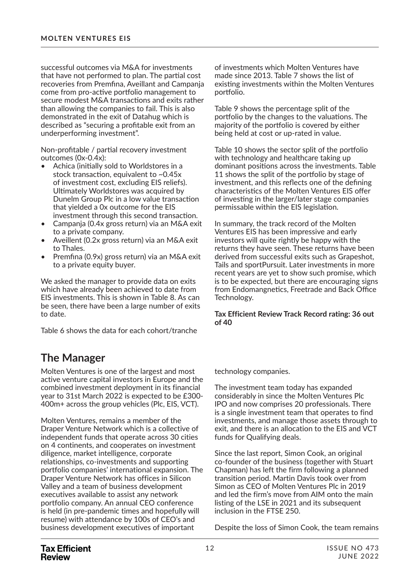successful outcomes via M&A for investments that have not performed to plan. The partial cost recoveries from Premfina, Aveillant and Campanja come from pro-active portfolio management to secure modest M&A transactions and exits rather than allowing the companies to fail. This is also demonstrated in the exit of Datahug which is described as "securing a profitable exit from an underperforming investment".

Non-profitable / partial recovery investment outcomes (0x-0.4x):

- Achica (initially sold to Worldstores in a stock transaction, equivalent to  $\sim 0.45x$ of investment cost, excluding EIS reliefs). Ultimately Worldstores was acquired by Dunelm Group Plc in a low value transaction that yielded a 0x outcome for the EIS investment through this second transaction.
- Campanja (0.4x gross return) via an M&A exit to a private company.
- Aveillent (0.2x gross return) via an M&A exit to Thales.
- Premfina (0.9x) gross return) via an M&A exit to a private equity buyer.

We asked the manager to provide data on exits which have already been achieved to date from EIS investments. This is shown in Table 8. As can be seen, there have been a large number of exits to date.

Table 6 shows the data for each cohort/tranche

### **The Manager**

Molten Ventures is one of the largest and most active venture capital investors in Europe and the combined investment deployment in its financial year to 31st March 2022 is expected to be £300- 400m+ across the group vehicles (Plc, EIS, VCT).

Molten Ventures, remains a member of the Draper Venture Network which is a collective of independent funds that operate across 30 cities on 4 continents, and cooperates on investment diligence, market intelligence, corporate relationships, co-investments and supporting portfolio companies' international expansion. The Draper Venture Network has offices in Silicon Valley and a team of business development executives available to assist any network portfolio company. An annual CEO conference is held (in pre-pandemic times and hopefully will resume) with attendance by 100s of CEO's and business development executives of important

of investments which Molten Ventures have made since 2013. Table 7 shows the list of existing investments within the Molten Ventures portfolio.

Table 9 shows the percentage split of the portfolio by the changes to the valuations. The majority of the portfolio is covered by either being held at cost or up-rated in value.

Table 10 shows the sector split of the portfolio with technology and healthcare taking up dominant positions across the investments. Table 11 shows the split of the portfolio by stage of investment, and this reflects one of the defining characteristics of the Molten Ventures EIS offer of investing in the larger/later stage companies permissable within the EIS legislation.

In summary, the track record of the Molten Ventures EIS has been impressive and early investors will quite rightly be happy with the returns they have seen. These returns have been derived from successful exits such as Grapeshot, Tails and sportPursuit. Later investments in more recent years are yet to show such promise, which is to be expected, but there are encouraging signs from Endomangnetics, Freetrade and Back Office Technology.

#### **Tax Efficient Review Track Record rating: 36 out of 40**

#### technology companies.

The investment team today has expanded considerably in since the Molten Ventures Plc IPO and now comprises 20 professionals. There is a single investment team that operates to find investments, and manage those assets through to exit, and there is an allocation to the EIS and VCT funds for Qualifying deals.

Since the last report, Simon Cook, an original co-founder of the business (together with Stuart Chapman) has left the firm following a planned transition period. Martin Davis took over from Simon as CEO of Molten Ventures Plc in 2019 and led the firm's move from AIM onto the main listing of the LSE in 2021 and its subsequent inclusion in the FTSE 250.

Despite the loss of Simon Cook, the team remains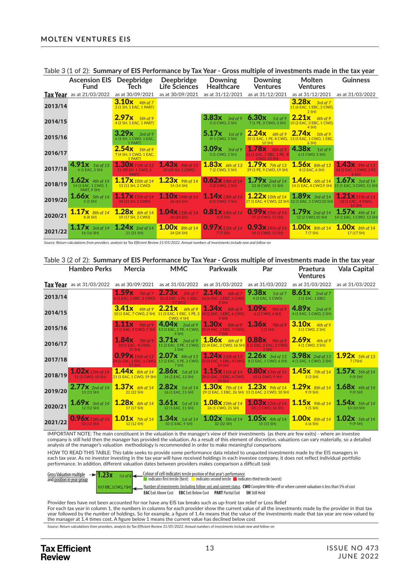|         | 1001000120121<br><b>Ascension EIS</b> Deepbridge<br><b>Fund</b> | <b>Tech</b>                                           | Deepbridge<br><b>Life Sciences</b>                   | Downing<br>Healthcare                                       | Downing<br><b>Ventures</b>                                                  | <u>al mia i all'allimitano a l'internationelle all'antifata di littografica llingua illetto d</u><br>Molten<br><b>Ventures</b> | <b>Guinness</b>                                            |
|---------|-----------------------------------------------------------------|-------------------------------------------------------|------------------------------------------------------|-------------------------------------------------------------|-----------------------------------------------------------------------------|--------------------------------------------------------------------------------------------------------------------------------|------------------------------------------------------------|
|         | <b>Tax Year</b> as at 21/03/2022                                | as at 30/09/2021                                      | as at 30/09/2021                                     | as at 31/12/2021                                            | as at 31/12/2021                                                            | as at 31/12/2021                                                                                                               | as at 31/03/2022                                           |
| 2013/14 |                                                                 | <b>3.10x</b> 4th of 7<br>3 (1 SH, 1 EAC, 1 PART)      |                                                      |                                                             |                                                                             | <b>3.28x</b> 3rd of 7<br>11 (6 EAC, 1 EBC, 2 CWO,<br>$2$ SH)                                                                   |                                                            |
| 2014/15 |                                                                 | $2.97x$ 5th of 9<br>4 (2 SH, 1 EAC, 1 PART)           |                                                      | $3.83x$ 3rd of 9<br>3 (1 CWO, 2 SH)                         |                                                                             | <b>6.30x</b> 1st of 9 <b>2.21x</b> 6th of 9<br>7 (1 PE, 3 CWO, 3 SH) 10 (2 EAC, 3 EBC, 1 CWO,<br>$4$ SH)                       |                                                            |
| 2015/16 |                                                                 | $3.29x$ 3rd of 9<br>6 (3 SH, 1 CWO, 1 EAC,<br>1 PART) |                                                      | $5.17x$ 1st of 9<br>4(1 CWO, 3 SH)                          | 10 SH                                                                       | $2.24x$ 6th of 9 2.74x 5th of 9<br>20 (1 EAC, 1 PE, 8 CWO, 13 (5 EAC, 1 CWO, 1 EBC,<br>$6$ SH)                                 |                                                            |
| 2016/17 |                                                                 | $2.54x$ 5th of 9<br>7 (4 SH, 1 CWO, 1 EAC,<br>1 PART) |                                                      | $3.09x$ 3rd of 9<br>3 (1 CWO, 2 SH)                         | 21 (1 EAC, 1 EBC, 1 PE, 8<br><b>CWO. 10 SH)</b>                             | 1.78 $x$ 8th of 9 4.38 $x$ 1st of 9<br>6 (1 CWO, 5 SH)                                                                         |                                                            |
| 2017/18 | 4.91x 1st of 13 1.30x 11th of 13<br>4(1 EAC, 3 SH)              | 11 (09 SH, 1 CWO, 1<br>PART)                          | $1.43x$ 9th of 13<br>10 (09 SH, 1 CWO)               | $1.83x$ 6th of 13<br>7 (2 CWO, 5 SH)                        | 29 (1 PE, 9 CWO, 19 SH) 8 (2 EAC, 6 SH)                                     | $1.79x$ 7th of 13 $1.56x$ 8th of 13                                                                                            | $1.43x$ 9th of 13<br>14 (2 EAC, 1 CWO, 3 PE,<br>8 SH)      |
| 2018/19 | $1.62x$ 4th of 14<br>14 (3 EAC, 1 CWO, 1<br>PART, 9 SH)         | 1.17x 10th of 14<br>13 (11 SH, 2 CWO)                 | $1.23x$ 9th of 14<br>14 (14 SH)                      | 3 (2 CWO, 1 SH)                                             | $0.62x$ 14th of 14 1.79x 2nd of 14<br>23 (8 CWO, 15 SH)                     | $1.46x$ 6th of 14 $1.67x$ 3rd of 14                                                                                            | 14 (1 EAC, 4 CWO, 9 SH) 15 (1 EAC, 3 CWO, 11 SH)           |
| 2019/20 | 1.66 $x$ 5th of 14<br>5(5 SH)                                   | 24 (21 SH, 3 CWO)                                     | 1.17x 12th of 14 1.10x 14th of 14<br>26 (26 SH)      | 1.14 $x_{13th of 14}$<br>8 (1 CWO, 7 SH)                    |                                                                             | $1.22x$ 10th of 14 $1.89x$ 3rd of 14<br>27 (1 EAC, 4 CWO, 22 SH) 12 (1 EAC, 1 CWO, 10 SH)                                      | $1.21x$ 11th of 14<br>18 (1 EAC, 4 CWO,<br>13 SH)          |
| 2020/21 | 8 (8 SH)                                                        | <b>19 (17 SH, 2 CWO)</b>                              | 1.17x $8th of 14$ 1.28x $6th of 14$ 1.04x 11th of 14 | $0.81x$ 14th of 14<br>24 (24 SH) 3 (3 SH) 17 (2 CWO, 15 SH) |                                                                             | $0.99x$ 13th of 14 1.79x 2nd of 14<br>12 (2 CWO, 10 SH)                                                                        | $1.57x$ 4th of 14<br>14 (1 EAC, 1 CWO, 12 SH)              |
| 2021/22 | 16 (16 SH)                                                      | .17x $3rd of 14$ 1.24x $2nd of 14$<br>21 (21 SH)      | $1.00x$ 8th of 14<br>24(24 SH)                       | 7(7 S H)                                                    | <b>0.97x</b> 12th of 14 <b>0.93x</b> 14th of 14<br><b>14 (1 CWO, 13 SH)</b> | 7(7 S H)                                                                                                                       | $1.00x$ 8th of 14 $1.00x$ 8th of 14<br>$17(17 \text{ SH})$ |

Table 3 (1 of 2): **Summary of EIS Performance by Tax Year - Gross multiple of investments made in the tax year**

*Source: Return calculations from providers, analysis by Tax Efficient Review 31/05/2022. Annual numbers of investments include new and follow-on*

#### Table 3 (2 of 2): **Summary of EIS Performance by Tax Year - Gross multiple of investments made in the tax year**

|         | <b>Hambro Perks</b>                                                                                  | Mercia                                                                                                                                    | <b>MMC</b>          | <b>Parkwalk</b>                                                                                                                                                                                                                                           | Par                                                        | Praetura<br><b>Ventures</b>                                                           | Vala Capital        |
|---------|------------------------------------------------------------------------------------------------------|-------------------------------------------------------------------------------------------------------------------------------------------|---------------------|-----------------------------------------------------------------------------------------------------------------------------------------------------------------------------------------------------------------------------------------------------------|------------------------------------------------------------|---------------------------------------------------------------------------------------|---------------------|
|         | <b>Tax Year</b> as at 31/03/2022 as at 30/09/2021 as at 31/03/2022 as at 31/03/2022 as at 31/03/2022 |                                                                                                                                           |                     |                                                                                                                                                                                                                                                           |                                                            | as at 31/03/2022                                                                      | as at 31/03/2022    |
| 2013/14 |                                                                                                      |                                                                                                                                           | 5 CWO)              | 1.59x 7th of 7 2.73x 5th of 7 2.14x 6th of 7 9.38x 1st of 7<br>6 (2 EAC, 1 EBC, 3 CWO) 10 (3 EAC, 1 PE, 1 EBC, 16 (6 EAC, 1 EBC, 5 CWO, 4 (3 EAC, 1 CWO)<br>$4$ SH)                                                                                       |                                                            | $8.61x$ 2nd of 7<br>2 (1 EAC, 1 EBC)                                                  |                     |
| 2014/15 |                                                                                                      |                                                                                                                                           | CWO, 4 SH)          | $3.41x$ 4th of 9 2.21x 6th of 9 1.34x 8th of 9 1.09x 9th of 9 4.89x 2nd of 9<br>10 (1 EAC, 7 CWO, 2 SH) 11 (3 EAC, 1 EBC, 1 PE, 2 18 (2 EAC, 1 EBC, 6 CWO, 6 (2 CWO, 4 SH)<br>$9$ SH)                                                                     |                                                            | 4 (1 EAC, 1 CWO, 2 SH)                                                                |                     |
| 2015/16 |                                                                                                      |                                                                                                                                           | $4$ SH)             | 1.11x $\frac{9th\ of\ 9}{4.04x}$ $\frac{2nd\ of\ 9}{1.30x}$ $\frac{3th\ of\ 9}{8.10x}$ $\frac{3.10x}{4th\ of\ 9}$<br>17 (1 EAC, 9 CWO, 7 SH) 13 (3 EAC, 2 PE, 4 CWO, 20 (4 EAC, 2 EBC, 7 CWO, 1 (1 SH) 3 (1 CWO, 2 SH)<br>7 SH                            |                                                            |                                                                                       |                     |
| 2016/17 |                                                                                                      | $15$ SH $\lambda$                                                                                                                         | $5$ SH)             | $1.84x$ 7th of 9 3.71x 2nd of 9 1.86x 6th of 9 0.88x 9th of 9 2.69x 4th of 9<br>24 (1 EAC, 8 CWO, 11 (3 EAC, 2 PE, 1 CWO, 22 (4 EAC, 2 CWO, 16 SH) 6 (1 EAC, 2 EAC, 2 CWO, 4 (1 CWO, 3 SH)                                                                | $1$ SH)                                                    |                                                                                       |                     |
| 2017/18 |                                                                                                      | $17$ SH)                                                                                                                                  | $7$ SH) and $7$ SH) | $0.99x$ 13th of 13 2.07x 4th of 13 1.24x 12th of 13 2.26x 3rd of 13 3.98x 2nd of 13 1.92x 5th of 13<br>24 (1 EAC, 1 EBC, 5 CWO, 12 (2 EAC, 1 PE, 2 CWO, <mark>32 (3 EAC, 1 EBC, 4 CWO,</mark> 8 (1 EAC, 1 CWO, 6 SH) 4 (1 EAC, 1 CWO, 2 SH) 5<br>24 SH    |                                                            |                                                                                       | 7(7SH)              |
| 2018/19 |                                                                                                      | 1.02X 12th of 14 1.44X 8th of 14 2.86X 1st of 14 11 (1 CWO, 10 SH) 21 (1 EAC, 1 CWO, 19 SH)<br>21 (1 EAC, 1 CWO, 19 SH) 14 (2 EAC, 12 SH) |                     | 28 (1 EAC, 3 EBC, 4 CWO, 10 (1 CWO, 9 SH) 3 (3 SH)<br>20 SH)                                                                                                                                                                                              |                                                            | 1.15x 11th of 14 0.80x 13th of 14 1.45x 7th of 14 1.57x 5th of 14                     | 9(9 S H)            |
| 2019/20 |                                                                                                      | 2.77X 2nd of 14 $1.37x$ 6th of 14 $2.82x$ 1st of 14<br>13 (13 SH)<br>22 (22 SH) 16 (1 EAC, 15 SH)                                         |                     |                                                                                                                                                                                                                                                           | 29 (2 EAC, 1 EBC, 26 SH) 13 (1 EAC, 2 CWO, 10 SH) 9 (9 SH) | 1.30x 7th of 14 1.23x 9th of 14 1.29x 8th of 14 1.68x 4th of 14                       | 9(9 S H)            |
| 2020/21 | 12(12 SH)                                                                                            | 1.69x $3rd$ of 14 1.28x 6th of 14 3.61x 1st of 14                                                                                         |                     | 17 (17 SH) 12 (1 EAC, 11 SH) 26 (1 CWO, 25 SH) 18 ( 2 CWO, 16 SH)                                                                                                                                                                                         |                                                            | $1.08x$ 10th of 14 $1.03x$ 12th of 14 $1.15x$ 9th of 14 $1.54x$ 5th of 14<br>5(5 S H) | $10(10 \text{ SH})$ |
| 2021/22 |                                                                                                      |                                                                                                                                           |                     | $\left[0.96x_{13th of 14}\atop {}_{12(12\,5H)}\right]^{1.01x} \left[1.01x_{7th of 14}\atop {}_{12(12\,5H)}\right]^{1.34x} \left[1.34x_{15th of 14}\atop {}_{10(1\,EAC,\,9\,5H)}\right]^{1.4x} \left[1.02x_{5th of 14}\atop {}_{32(32\,5H)}\right]^{1.4x}$ |                                                            | <b>1.00x</b> 8th of 14 <b>1.02x</b> 5th of 14<br>$6(6 \text{ SH})$ 9 (9 SH)           |                     |

IMPORTANT NOTE: The main constituent in the valuation is the manager's view of their investments (as there are few exits) - where an investee company is still held then the manager has provided the valuation. As a result of this element of discretion, valuations can vary materially, so a detailed analysis of the manager's valuation methodology is recommended in order to make meaningful comparisons

HOW TO READ THIS TABLE: This table seeks to provide some performance data related to unquoted investments made by the EIS managers in each tax year. As no investor investing in the tax year will have received holdings in each investee company, it does not reflect individual portfolio performance. In addition, different valuation dates between providers makes comparison a difficult task

| Gross Valuation multiple $\rightarrow$ 1.23x<br>and position in year group |                    | Colour of cell indicates tercile position of that vear's performance<br>$\blacksquare$ indicates first tercile (best) $\blacksquare$ indicates second tercile $\blacksquare$ indicates third tercile (worst)                                       |  |
|----------------------------------------------------------------------------|--------------------|----------------------------------------------------------------------------------------------------------------------------------------------------------------------------------------------------------------------------------------------------|--|
|                                                                            | 10(1EBC.2 CWO7 SH) | Number of investments (including follow-on) and current status CWO Complete Write-off or where current valuation is less than 5% of cost<br><b>EAC</b> Exit Above Cost <b>EBC</b> Exit Below Cost <b>PART</b> Partial Exit<br><b>SH</b> Still Held |  |

Provider fees have not been accounted for nor have any EIS tax breaks such as up-front tax relief or Loss Relief For each tax year in column 1, the numbers in columns for each provider show the current value of all the investments made by the provider in that tax year followed by the number of holdings. So for example, a figure of 1.4x means that the value of the investments made that tax year are now valued by the manager at 1.4 times cost. A figure below 1 means the current value has declined below cost

*Source: Return calculations from providers, analysis by Tax Efficient Review 31/05/2022. Annual numbers of investments include new and follow-on*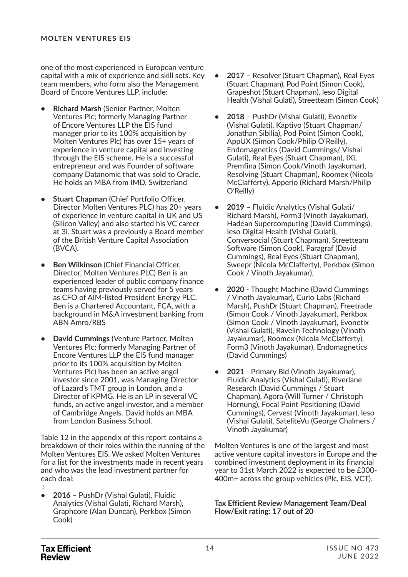one of the most experienced in European venture capital with a mix of experience and skill sets. Key team members, who form also the Management Board of Encore Ventures LLP, include:

- **Richard Marsh** (Senior Partner, Molten Ventures Plc; formerly Managing Partner of Encore Ventures LLP the EIS fund manager prior to its 100% acquisition by Molten Ventures Plc) has over 15+ years of experience in venture capital and investing through the EIS scheme. He is a successful entrepreneur and was Founder of software company Datanomic that was sold to Oracle. He holds an MBA from IMD, Switzerland
- **Stuart Chapman** (Chief Portfolio Officer, Director Molten Ventures PLC) has 20+ years of experience in venture capital in UK and US (Silicon Valley) and also started his VC career at 3i. Stuart was a previously a Board member of the British Venture Capital Association (BVCA).
- **Ben Wilkinson** (Chief Financial Officer, Director, Molten Ventures PLC) Ben is an experienced leader of public company finance teams having previously served for 5 years as CFO of AIM-listed President Energy PLC. Ben is a Chartered Accountant, FCA, with a background in M&A investment banking from ABN Amro/RBS
- **David Cummings** (Venture Partner, Molten Ventures Plc; formerly Managing Partner of Encore Ventures LLP the EIS fund manager prior to its 100% acquisition by Molten Ventures Plc) has been an active angel investor since 2001, was Managing Director of Lazard's TMT group in London, and a Director of KPMG. He is an LP in several VC funds, an active angel investor, and a member of Cambridge Angels. David holds an MBA from London Business School.

Table 12 in the appendix of this report contains a breakdown of their roles within the running of the Molten Ventures EIS. We asked Molten Ventures for a list for the investments made in recent years and who was the lead investment partner for each deal:

 : **• 2016** – PushDr (Vishal Gulati), Fluidic Analytics (Vishal Gulati, Richard Marsh), Graphcore (Alan Duncan), Perkbox (Simon Cook)

- **2017**  Resolver (Stuart Chapman), Real Eyes (Stuart Chapman), Pod Point (Simon Cook), Grapeshot (Stuart Chapman), Ieso Digital Health (Vishal Gulati), Streetteam (Simon Cook)
- **2018** PushDr (Vishal Gulati), Evonetix (Vishal Gulati), Kaptivo (Stuart Chapman/ Jonathan Sibilia), Pod Point (Simon Cook), AppUX (Simon Cook/Philip O'Reilly), Endomagnetics (David Cummings/ Vishal Gulati), Real Eyes (Stuart Chapman), IXL Premfina (Simon Cook/Vinoth Jayakumar), Resolving (Stuart Chapman), Roomex (Nicola McClafferty), Apperio (Richard Marsh/Philip O'Reilly)
- **2019** Fluidic Analytics (Vishal Gulati/ Richard Marsh), Form3 (Vinoth Jayakumar), Hadean Supercomputing (David Cummings), Ieso Digital Health (Vishal Gulati), Conversocial (Stuart Chapman), Streetteam Software (Simon Cook), Paragraf (David Cummings), Real Eyes (Stuart Chapman), Sweepr (Nicola McClafferty), Perkbox (Simon Cook / Vinoth Jayakumar),
- **2020**  Thought Machine (David Cummings / Vinoth Jayakumar), Curio Labs (Richard Marsh), PushDr (Stuart Chapman), Freetrade (Simon Cook / Vinoth Jayakumar), Perkbox (Simon Cook / Vinoth Jayakumar), Evonetix (Vishal Gulati), Ravelin Technology (Vinoth Jayakumar), Roomex (Nicola McClafferty), Form3 (Vinoth Jayakumar), Endomagnetics (David Cummings)
- **2021**  Primary Bid (Vinoth Jayakumar), Fluidic Analytics (Vishal Gulati), Riverlane Research (David Cummings / Stuart Chapman), Agora (Will Turner / Christoph Hornung), Focal Point Positioning (David Cummings), Cervest (Vinoth Jayakumar), Ieso (Vishal Gulati), SateliteVu (George Chalmers / Vinoth Jayakumar)

Molten Ventures is one of the largest and most active venture capital investors in Europe and the combined investment deployment in its financial year to 31st March 2022 is expected to be £300- 400m+ across the group vehicles (Plc, EIS, VCT).

**Tax Efficient Review Management Team/Deal Flow/Exit rating: 17 out of 20**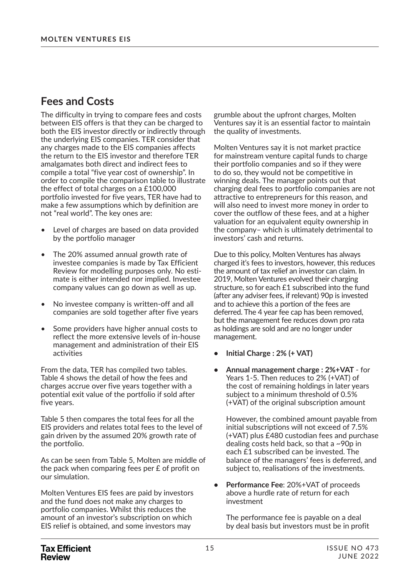### **Fees and Costs**

The difficulty in trying to compare fees and costs between EIS offers is that they can be charged to both the EIS investor directly or indirectly through the underlying EIS companies. TER consider that any charges made to the EIS companies affects the return to the EIS investor and therefore TER amalgamates both direct and indirect fees to compile a total "five year cost of ownership". In order to compile the comparison table to illustrate the effect of total charges on a £100,000 portfolio invested for five years, TER have had to make a few assumptions which by definition are not "real world". The key ones are:

- Level of charges are based on data provided by the portfolio manager
- The 20% assumed annual growth rate of investee companies is made by Tax Efficient Review for modelling purposes only. No estimate is either intended nor implied. Investee company values can go down as well as up.
- No investee company is written-off and all companies are sold together after five years
- Some providers have higher annual costs to reflect the more extensive levels of in-house management and administration of their EIS activities

From the data, TER has compiled two tables. Table 4 shows the detail of how the fees and charges accrue over five years together with a potential exit value of the portfolio if sold after five years.

Table 5 then compares the total fees for all the EIS providers and relates total fees to the level of gain driven by the assumed 20% growth rate of the portfolio.

As can be seen from Table 5, Molten are middle of the pack when comparing fees per £ of profit on our simulation.

Molten Ventures EIS fees are paid by investors and the fund does not make any charges to portfolio companies. Whilst this reduces the amount of an investor's subscription on which EIS relief is obtained, and some investors may

grumble about the upfront charges, Molten Ventures say it is an essential factor to maintain the quality of investments.

Molten Ventures say it is not market practice for mainstream venture capital funds to charge their portfolio companies and so if they were to do so, they would not be competitive in winning deals. The manager points out that charging deal fees to portfolio companies are not attractive to entrepreneurs for this reason, and will also need to invest more money in order to cover the outflow of these fees, and at a higher valuation for an equivalent equity ownership in the company– which is ultimately detrimental to investors' cash and returns.

Due to this policy, Molten Ventures has always charged it's fees to investors, however, this reduces the amount of tax relief an investor can claim. In 2019, Molten Ventures evolved their charging structure, so for each £1 subscribed into the fund (after any adviser fees, if relevant) 90p is invested and to achieve this a portion of the fees are deferred. The 4 year fee cap has been removed, but the management fee reduces down pro rata as holdings are sold and are no longer under management.

- **Initial Charge : 2% (+ VAT)**
- **Annual management charge : 2%+VAT** for Years 1-5. Then reduces to 2% (+VAT) of the cost of remaining holdings in later years subject to a minimum threshold of 0.5% (+VAT) of the original subscription amount

However, the combined amount payable from initial subscriptions will not exceed of 7.5% (+VAT) plus £480 custodian fees and purchase dealing costs held back, so that a ~90p in each £1 subscribed can be invested. The balance of the managers' fees is deferred, and subject to, realisations of the investments.

**• Performance Fee**: 20%+VAT of proceeds above a hurdle rate of return for each investment

The performance fee is payable on a deal by deal basis but investors must be in profit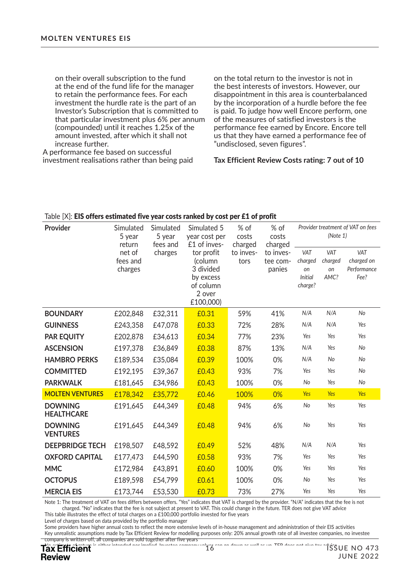on their overall subscription to the fund at the end of the fund life for the manager to retain the performance fees. For each investment the hurdle rate is the part of an Investor's Subscription that is committed to that particular investment plus 6% per annum (compounded) until it reaches 1.25x of the amount invested, after which it shall not increase further.

A performance fee based on successful investment realisations rather than being paid on the total return to the investor is not in the best interests of investors. However, our disappointment in this area is counterbalanced by the incorporation of a hurdle before the fee is paid. To judge how well Encore perform, one of the measures of satisfied investors is the performance fee earned by Encore. Encore tell us that they have earned a performance fee of "undisclosed, seven figures".

#### **Tax Efficient Review Costs rating: 7 out of 10**

| Provider                            | Simulated<br>Simulated<br>5 year<br>5 year<br>return<br>fees and |         | Simulated 5<br>year cost per<br>£1 of inves- | % of<br>costs<br>charged | % of<br>costs<br>charged | Provider treatment of VAT on fees<br>(Note 1) |         |             |
|-------------------------------------|------------------------------------------------------------------|---------|----------------------------------------------|--------------------------|--------------------------|-----------------------------------------------|---------|-------------|
|                                     | net of                                                           | charges | tor profit                                   | to inves-                | to inves-                | VAT                                           | VAT     | VAT         |
|                                     | fees and                                                         |         | (column                                      | tors                     | tee com-                 | charged                                       | charged | charged on  |
|                                     | charges                                                          |         | 3 divided                                    |                          | panies                   | on                                            | on      | Performance |
|                                     |                                                                  |         | by excess                                    |                          |                          | <b>Initial</b>                                | AMC?    | Fee?        |
|                                     |                                                                  |         | of column<br>2 over                          |                          |                          | charge?                                       |         |             |
|                                     |                                                                  |         | £100,000)                                    |                          |                          |                                               |         |             |
| <b>BOUNDARY</b>                     | £202,848                                                         | £32,311 | £0.31                                        | 59%                      | 41%                      | N/A                                           | N/A     | No          |
| <b>GUINNESS</b>                     | £243,358                                                         | £47,078 | £0.33                                        | 72%                      | 28%                      | N/A                                           | N/A     | Yes         |
| <b>PAR EQUITY</b>                   | £202,878                                                         | £34,613 | £0.34                                        | 77%                      | 23%                      | Yes                                           | Yes     | Yes         |
| <b>ASCENSION</b>                    | £197,378                                                         | £36,849 | £0.38                                        | 87%                      | 13%                      | N/A                                           | Yes     | No          |
| <b>HAMBRO PERKS</b>                 | £189,534                                                         | £35,084 | £0.39                                        | 100%                     | 0%                       | N/A                                           | No      | No          |
| <b>COMMITTED</b>                    | £192,195                                                         | £39,367 | £0.43                                        | 93%                      | 7%                       | Yes                                           | Yes     | No          |
| <b>PARKWALK</b>                     | £181,645                                                         | £34,986 | £0.43                                        | 100%                     | 0%                       | No                                            | Yes     | No          |
| <b>MOLTEN VENTURES</b>              | £178,342                                                         | £35,772 | £0.46                                        | 100%                     | 0%                       | Yes                                           | Yes     | <b>Yes</b>  |
| <b>DOWNING</b><br><b>HEALTHCARE</b> | £191,645                                                         | £44,349 | £0.48                                        | 94%                      | 6%                       | No                                            | Yes     | Yes         |
| <b>DOWNING</b><br><b>VENTURES</b>   | £191,645                                                         | £44,349 | £0.48                                        | 94%                      | 6%                       | No                                            | Yes     | Yes         |
| <b>DEEPBRIDGE TECH</b>              | £198,507                                                         | £48,592 | £0.49                                        | 52%                      | 48%                      | N/A                                           | N/A     | Yes         |
| <b>OXFORD CAPITAL</b>               | £177,473                                                         | £44,590 | £0.58                                        | 93%                      | 7%                       | Yes                                           | Yes     | Yes         |
| <b>MMC</b>                          | £172,984                                                         | £43,891 | £0.60                                        | 100%                     | 0%                       | Yes                                           | Yes     | Yes         |
| <b>OCTOPUS</b>                      | £189,598                                                         | £54,799 | £0.61                                        | 100%                     | 0%                       | No                                            | Yes     | Yes         |
| <b>MERCIA EIS</b>                   | £173,744                                                         | £53,530 | £0.73                                        | 73%                      | 27%                      | Yes                                           | Yes     | Yes         |

#### Table [X]: EIS offers estimated five year costs ranked by cost per £1 of profit

Note 1: The treatment of VAT on fees differs between offers. "Yes" indicates that VAT is charged by the provider. "N/A" indicates that the fee is not charged. "No" indicates that the fee is not subject at present to VAT. This could change in the future. TER does not give VAT advice This table illustrates the effect of total charges on a £100,000 portfolio invested for five years

Level of charges based on data provided by the portfolio manager

Some providers have higher annual costs to reflect the more extensive levels of in-house management and administration of their EIS activities Key unrealistic assumptions made by Tax Efficient Review for modelling purposes only: 20% annual growth rate of all investee companies, no investee company is written-off, all companies are sold together after five years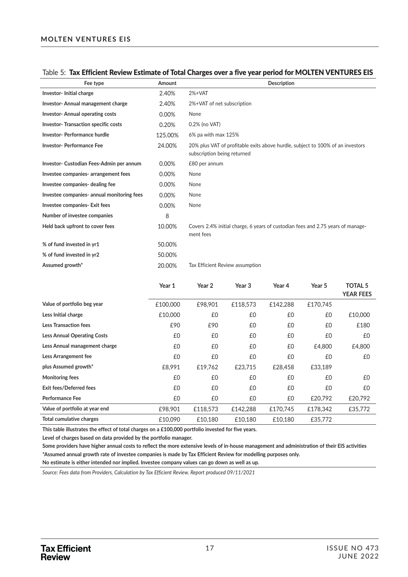#### Table 5: Tax Efficient Review Estimate of Total Charges over a five year period for MOLTEN VENTURES EIS

| Fee type                                   | Amount  | <b>Description</b>                                                                                            |
|--------------------------------------------|---------|---------------------------------------------------------------------------------------------------------------|
| Investor-Initial charge                    | 2.40%   | $2%+VAT$                                                                                                      |
| Investor-Annual management charge          | 2.40%   | 2%+VAT of net subscription                                                                                    |
| Investor-Annual operating costs            | 0.00%   | None                                                                                                          |
| <b>Investor-Transaction specific costs</b> | 0.20%   | 0.2% (no VAT)                                                                                                 |
| Investor-Performance hurdle                | 125.00% | 6% pa with max 125%                                                                                           |
| <b>Investor-Performance Fee</b>            | 24.00%  | 20% plus VAT of profitable exits above hurdle, subject to 100% of an investors<br>subscription being returned |
| Investor- Custodian Fees-Admin per annum   | 0.00%   | £80 per annum                                                                                                 |
| Investee companies- arrangement fees       | 0.00%   | None                                                                                                          |
| Investee companies- dealing fee            | 0.00%   | None                                                                                                          |
| Investee companies- annual monitoring fees | 0.00%   | None                                                                                                          |
| Investee companies- Exit fees              | 0.00%   | None                                                                                                          |
| Number of investee companies               | 8       |                                                                                                               |
| Held back upfront to cover fees            | 10.00%  | Covers 2.4% initial charge, 6 years of custodian fees and 2.75 years of manage-<br>ment fees                  |
| % of fund invested in yr1                  | 50.00%  |                                                                                                               |
| % of fund invested in yr2                  | 50.00%  |                                                                                                               |
| Assumed growth*                            | 20.00%  | Tax Efficient Review assumption                                                                               |

|                                    | Year 1   | Year 2   | Year 3   | Year 4   | Year 5   | <b>TOTAL 5</b><br><b>YEAR FEES</b> |
|------------------------------------|----------|----------|----------|----------|----------|------------------------------------|
| Value of portfolio beg year        | £100,000 | £98,901  | £118,573 | £142,288 | £170,745 |                                    |
| Less Initial charge                | £10,000  | £0       | £0       | £0       | £0       | £10,000                            |
| <b>Less Transaction fees</b>       | £90      | £90      | £0       | £0       | £0       | £180                               |
| <b>Less Annual Operating Costs</b> | £0       | £0       | £0       | £0       | £0       | £0                                 |
| Less Annual management charge      | £0       | £0       | £0       | £0       | £4,800   | £4,800                             |
| Less Arrangement fee               | £0       | £0       | £0       | £0       | £0       | £0                                 |
| plus Assumed growth*               | £8,991   | £19.762  | £23,715  | £28,458  | £33,189  |                                    |
| <b>Monitoring fees</b>             | £0       | £0       | £0       | £0       | £0       | £0                                 |
| Exit fees/Deferred fees            | £0       | £0       | £0       | £0       | £0       | £0                                 |
| <b>Performance Fee</b>             | £0       | £0       | £0       | £0       | £20,792  | £20,792                            |
| Value of portfolio at year end     | £98,901  | £118,573 | £142,288 | £170,745 | £178,342 | £35,772                            |
| Total cumulative charges           | £10.090  | £10.180  | £10.180  | £10.180  | £35,772  |                                    |

**This table illustrates the effect of total charges on a £100,000 portfolio invested for five years.**

**Level of charges based on data provided by the portfolio manager.**

**Some providers have higher annual costs to reflect the more extensive levels of in-house management and administration of their EIS activities \*Assumed annual growth rate of investee companies is made by Tax Efficient Review for modelling purposes only.**

**No estimate is either intended nor implied. Investee company values can go down as well as up.**

*Source: Fees data from Providers, Calculation by Tax Efficient Review. Report produced 09/11/2021*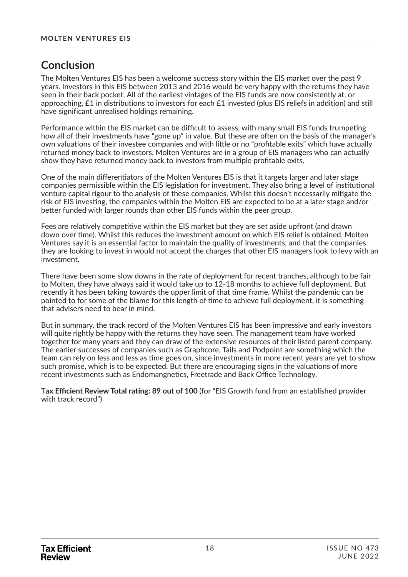### **Conclusion**

The Molten Ventures EIS has been a welcome success story within the EIS market over the past 9 years. Investors in this EIS between 2013 and 2016 would be very happy with the returns they have seen in their back pocket. All of the earliest vintages of the EIS funds are now consistently at, or approaching, £1 in distributions to investors for each £1 invested (plus EIS reliefs in addition) and still have significant unrealised holdings remaining.

Performance within the EIS market can be difficult to assess, with many small EIS funds trumpeting how all of their investments have "gone up" in value. But these are often on the basis of the manager's own valuations of their investee companies and with little or no "profitable exits" which have actually returned money back to investors. Molten Ventures are in a group of EIS managers who can actually show they have returned money back to investors from multiple profitable exits.

One of the main differentiators of the Molten Ventures EIS is that it targets larger and later stage companies permissible within the EIS legislation for investment. They also bring a level of institutional venture capital rigour to the analysis of these companies. Whilst this doesn't necessarily mitigate the risk of EIS investing, the companies within the Molten EIS are expected to be at a later stage and/or better funded with larger rounds than other EIS funds within the peer group.

Fees are relatively competitive within the EIS market but they are set aside upfront (and drawn down over time). Whilst this reduces the investment amount on which EIS relief is obtained. Molten Ventures say it is an essential factor to maintain the quality of investments, and that the companies they are looking to invest in would not accept the charges that other EIS managers look to levy with an investment.

There have been some slow downs in the rate of deployment for recent tranches, although to be fair to Molten, they have always said it would take up to 12-18 months to achieve full deployment. But recently it has been taking towards the upper limit of that time frame. Whilst the pandemic can be pointed to for some of the blame for this length of time to achieve full deployment, it is something that advisers need to bear in mind.

But in summary, the track record of the Molten Ventures EIS has been impressive and early investors will quite rightly be happy with the returns they have seen. The management team have worked together for many years and they can draw of the extensive resources of their listed parent company. The earlier successes of companies such as Graphcore, Tails and Podpoint are something which the team can rely on less and less as time goes on, since investments in more recent years are yet to show such promise, which is to be expected. But there are encouraging signs in the valuations of more recent investments such as Endomangnetics, Freetrade and Back Office Technology.

T**ax Effi cient Review Total raঞ ng: 89 out of 100** (for "EIS Growth fund from an established provider with track record")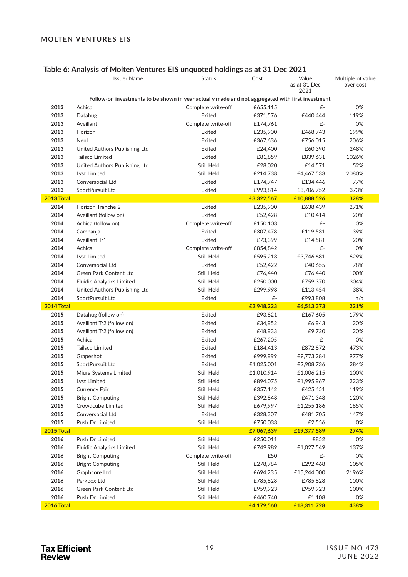|                    | <b>Issuer Name</b>                  | <b>Status</b>                                                                                    | Cost                   | Value<br>as at 31 Dec | Multiple of value<br>over cost |
|--------------------|-------------------------------------|--------------------------------------------------------------------------------------------------|------------------------|-----------------------|--------------------------------|
|                    |                                     |                                                                                                  |                        | 2021                  |                                |
|                    |                                     | Follow-on investments to be shown in year actually made and not aggregated with first investment |                        |                       |                                |
| 2013               | Achica                              | Complete write-off                                                                               | £655,115               | £-                    | 0%                             |
| 2013               | Datahug                             | Exited                                                                                           | £371,576               | £440,444              | 119%                           |
| 2013               | Aveillant                           | Complete write-off                                                                               | £174,761               | £-                    | 0%                             |
| 2013               | Horizon                             | Exited                                                                                           | £235,900               | £468,743              | 199%                           |
| 2013               | Neul                                | Exited                                                                                           | £367,636               | £756,015              | 206%                           |
| 2013               | United Authors Publishing Ltd       | Exited                                                                                           | £24,400                | £60,390               | 248%                           |
| 2013               | Tailsco Limited                     | Exited                                                                                           | £81,859                | £839,631              | 1026%                          |
| 2013               | United Authors Publishing Ltd       | Still Held                                                                                       | £28,020                | £14,571               | 52%                            |
| 2013               | Lyst Limited                        | Still Held                                                                                       | £214,738               | £4,467,533            | 2080%                          |
| 2013               | Conversocial Ltd                    | Exited                                                                                           | £174,747               | £134,446              | 77%                            |
| 2013               | SportPursuit Ltd                    | Exited                                                                                           | £993,814               | £3,706,752            | 373%                           |
| 2013 Total         |                                     |                                                                                                  | £3,322,567             | £10,888,526           | 328%                           |
| 2014               | Horizon Tranche 2                   | Exited                                                                                           | £235,900               | £638,439              | 271%                           |
| 2014               | Aveillant (follow on)               | Exited                                                                                           | £52,428                | £10,414               | 20%                            |
| 2014               | Achica (follow on)                  | Complete write-off                                                                               | £150,103               | £-                    | 0%                             |
| 2014               | Campanja                            | Exited                                                                                           | £307,478               | £119,531              | 39%                            |
| 2014               | Aveillant Tr1                       | Exited                                                                                           | £73,399                | £14,581               | 20%                            |
| 2014               | Achica                              | Complete write-off                                                                               | £854,842               | £-                    | 0%                             |
| 2014               | Lyst Limited                        | Still Held                                                                                       | £595,213               | £3,746,681            | 629%                           |
| 2014               | Conversocial Ltd                    | Exited                                                                                           | £52,422                | £40,655               | 78%                            |
| 2014               | Green Park Content Ltd              | Still Held                                                                                       | £76,440                | £76,440               | 100%                           |
| 2014               | <b>Fluidic Analytics Limited</b>    | Still Held                                                                                       | £250,000               | £759,370              | 304%                           |
| 2014               | United Authors Publishing Ltd       | Still Held                                                                                       | £299,998               | £113,454              | 38%                            |
| 2014               | SportPursuit Ltd                    | Exited                                                                                           | £-                     | £993,808              | n/a                            |
| 2014 Total         |                                     |                                                                                                  | £2,948,223             | £6,513,373            | 221%                           |
| 2015               | Datahug (follow on)                 | Exited                                                                                           | £93,821                | £167,605              | 179%                           |
| 2015               | Aveillant Tr2 (follow on)           | Exited                                                                                           | £34,952                | £6,943                | 20%                            |
| 2015               | Aveillant Tr2 (follow on)           | Exited                                                                                           | £48,933                | £9,720                | 20%                            |
| 2015               | Achica                              | Exited                                                                                           | £267,205               | £-                    | 0%                             |
| 2015               | <b>Tailsco Limited</b>              | Exited                                                                                           | £184,413               | £872,872              | 473%                           |
| 2015               | Grapeshot                           | Exited                                                                                           | £999,999               | £9,773,284            | 977%                           |
| 2015               | SportPursuit Ltd                    | Exited                                                                                           | £1,025,001             | £2,908,736            | 284%                           |
| 2015               | Miura Systems Limited               | Still Held                                                                                       | £1,010,914             | £1,006,215            | 100%                           |
| 2015               | Lyst Limited                        | Still Held                                                                                       | £894,075               | £1,995,967            | 223%                           |
| 2015               | Currency Fair                       | Still Held                                                                                       | £357,142               | £425,451              | 119%                           |
| 2015               | <b>Bright Computing</b>             | Still Held                                                                                       | £392,848               | £471,348              | 120%                           |
| 2015               | Crowdcube Limited                   | Still Held                                                                                       | £679,997               | £1,255,186            | 185%                           |
|                    |                                     |                                                                                                  |                        |                       |                                |
| 2015               | Conversocial Ltd<br>Push Dr Limited | Exited                                                                                           | £328,307               | £481,705              | 147%                           |
| 2015<br>2015 Total |                                     | Still Held                                                                                       | £750,033<br>£7,067,639 | £2,556<br>£19,377,589 | 0%<br>274%                     |
|                    |                                     |                                                                                                  |                        |                       |                                |
| 2016               | Push Dr Limited                     | Still Held                                                                                       | £250,011               | £852                  | 0%                             |
| 2016               | <b>Fluidic Analytics Limited</b>    | Still Held                                                                                       | £749,989               | £1,027,549            | 137%                           |
| 2016               | <b>Bright Computing</b>             | Complete write-off                                                                               | £50                    | £-                    | 0%                             |
| 2016               | <b>Bright Computing</b>             | Still Held                                                                                       | £278,784               | £292,468              | 105%                           |
| 2016               | Graphcore Ltd                       | Still Held                                                                                       | £694,235               | £15,244,000           | 2196%                          |
| 2016               | Perkbox Ltd                         | Still Held                                                                                       | £785,828               | £785,828              | 100%                           |
| 2016               | Green Park Content Ltd              | Still Held                                                                                       | £959,923               | £959,923              | 100%                           |
| 2016               | Push Dr Limited                     | Still Held                                                                                       | £460,740               | £1,108                | 0%                             |
| 2016 Total         |                                     |                                                                                                  | £4,179,560             | £18,311,728           | 438%                           |

### **Table 6: Analysis of Molten Ventures EIS unquoted holdings as at 31 Dec 2021**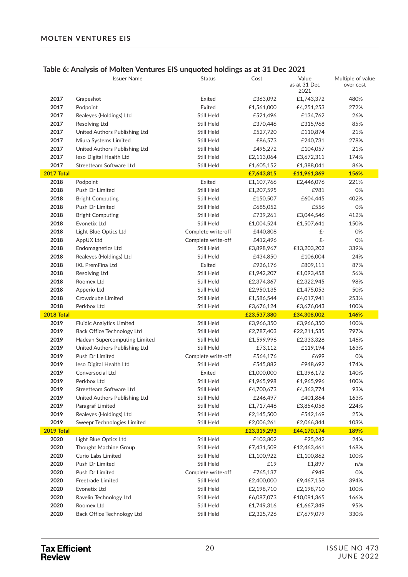### **Table 6: Analysis of Molten Ventures EIS unquoted holdings as at 31 Dec 2021**

|              | <b>Issuer Name</b>                                     | Status                   | Cost                      | Value<br>as at 31 Dec<br>2021 | Multiple of value<br>over cost |
|--------------|--------------------------------------------------------|--------------------------|---------------------------|-------------------------------|--------------------------------|
| 2017         | Grapeshot                                              | Exited                   | £363,092                  | £1,743,372                    | 480%                           |
| 2017         | Podpoint                                               | Exited                   | £1,561,000                | £4,251,253                    | 272%                           |
| 2017         | Realeyes (Holdings) Ltd                                | Still Held               | £521,496                  | £134,762                      | 26%                            |
| 2017         | Resolving Ltd                                          | Still Held               | £370,446                  | £315,968                      | 85%                            |
| 2017         | United Authors Publishing Ltd                          | Still Held               | £527,720                  | £110,874                      | 21%                            |
| 2017         | Miura Systems Limited                                  | Still Held               | £86,573                   | £240,731                      | 278%                           |
| 2017         | United Authors Publishing Ltd                          | Still Held               | £495,272                  | £104,057                      | 21%                            |
| 2017         | leso Digital Health Ltd                                | Still Held               | £2,113,064                | £3,672,311                    | 174%                           |
| 2017         | Streetteam Software Ltd                                | Still Held               | £1,605,152                | £1,388,041                    | 86%                            |
| 2017 Total   |                                                        |                          | £7,643,815                | £11,961,369                   | 156%                           |
| 2018         | Podpoint                                               | Exited                   | £1,107,766                | £2,446,076                    | 221%                           |
| 2018         | Push Dr Limited                                        | Still Held               | £1,207,595                | £981                          | 0%                             |
| 2018         | <b>Bright Computing</b>                                | Still Held               | £150,507                  | £604,445                      | 402%                           |
| 2018         | Push Dr Limited                                        | Still Held               | £685,052                  | £556                          | 0%                             |
| 2018         | <b>Bright Computing</b>                                | Still Held               | £739,261                  | £3,044,546                    | 412%                           |
| 2018         | Evonetix Ltd                                           | Still Held               | £1,004,524                | £1,507,641                    | 150%                           |
| 2018         | Light Blue Optics Ltd                                  | Complete write-off       | £440,808                  | £-                            | 0%                             |
| 2018         | AppUX Ltd                                              | Complete write-off       | £412,496                  | £-                            | 0%                             |
| 2018         | <b>Endomagnetics Ltd</b>                               | Still Held               | £3,898,967                | £13,203,202                   | 339%                           |
| 2018         | Realeyes (Holdings) Ltd                                | Still Held               | £434,850                  | £106,004                      | 24%                            |
| 2018         | <b>IXL PremFina Ltd</b>                                | Exited                   | £926,176                  | £809,111                      | 87%                            |
| 2018         | Resolving Ltd                                          | Still Held               | £1,942,207                | £1,093,458                    | 56%                            |
| 2018         | Roomex Ltd                                             | Still Held               | £2,374,367                | £2,322,945                    | 98%                            |
| 2018         | Apperio Ltd                                            | Still Held               | £2,950,135                | £1,475,053                    | 50%                            |
| 2018         | Crowdcube Limited                                      | Still Held               | £1,586,544                | £4,017,941                    | 253%                           |
| 2018         | Perkbox Ltd                                            | Still Held               | £3,676,124                | £3,676,043                    | 100%                           |
| 2018 Total   |                                                        |                          | £23,537,380               | £34,308,002                   | 146%                           |
| 2019         | <b>Fluidic Analytics Limited</b>                       | Still Held               | £3,966,350                | £3,966,350                    | 100%                           |
| 2019         | Back Office Technology Ltd                             | Still Held               | £2,787,403                | £22,211,535                   | 797%                           |
| 2019         | Hadean Supercomputing Limited                          | Still Held               | £1,599,996                | £2,333,328                    | 146%                           |
| 2019         | United Authors Publishing Ltd                          | Still Held               | £73,112                   | £119,194                      | 163%                           |
| 2019         | Push Dr Limited                                        | Complete write-off       | £564,176                  | £699                          | 0%                             |
| 2019         | leso Digital Health Ltd                                | Still Held               | £545,882                  | £948,692                      | 174%                           |
| 2019         | Conversocial Ltd                                       | Exited                   | £1,000,000                | £1,396,172                    | 140%                           |
| 2019         | Perkbox Ltd                                            | Still Held               | £1,965,998                | £1,965,996                    | 100%                           |
| 2019         | Streetteam Software Ltd                                | Still Held               | £4,700,673                | £4,363,774                    | 93%                            |
| 2019         | United Authors Publishing Ltd                          | Still Held               | £246,497                  | £401,864                      | 163%                           |
| 2019         | Paragraf Limited                                       | Still Held               | £1,717,446                | £3,854,058<br>£542,169        | 224%                           |
| 2019<br>2019 | Realeyes (Holdings) Ltd<br>Sweepr Technologies Limited | Still Held<br>Still Held | £2,145,500                | £2,066,344                    | 25%<br>103%                    |
| 2019 Total   |                                                        |                          | £2,006,261<br>£23,319,293 | £44,170,174                   | 189%                           |
| 2020         | Light Blue Optics Ltd                                  | Still Held               | £103,802                  | £25,242                       | 24%                            |
| 2020         | Thought Machine Group                                  | Still Held               | £7,431,509                | £12,463,461                   | 168%                           |
| 2020         | Curio Labs Limited                                     | Still Held               | £1,100,922                | £1,100,862                    | 100%                           |
| 2020         | Push Dr Limited                                        | Still Held               | £19                       | £1,897                        | n/a                            |
| 2020         | Push Dr Limited                                        | Complete write-off       | £765,137                  | £949                          | 0%                             |
| 2020         | Freetrade Limited                                      | Still Held               | £2,400,000                | £9,467,158                    | 394%                           |
| 2020         | Evonetix Ltd                                           | Still Held               | £2,198,710                | £2,198,710                    | 100%                           |
| 2020         | Ravelin Technology Ltd                                 | Still Held               | £6,087,073                | £10,091,365                   | 166%                           |
| 2020         | Roomex Ltd                                             | Still Held               | £1,749,316                | £1,667,349                    | 95%                            |
| 2020         | Back Office Technology Ltd                             | Still Held               | £2,325,726                | £7,679,079                    | 330%                           |
|              |                                                        |                          |                           |                               |                                |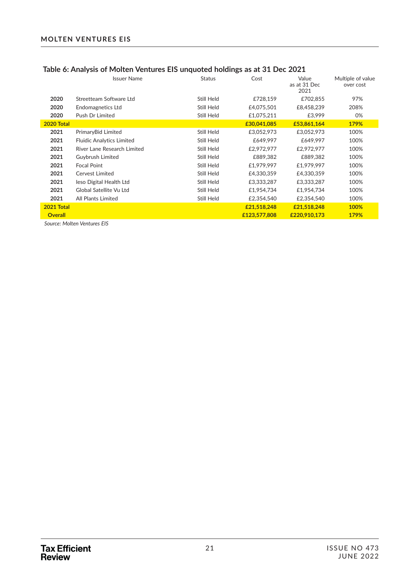#### **MOLTEN VENTURES EIS**

|                | <u>rabic of Arialysis of Molteri veritures Lib diriguoted holdings as at 51 Dec 2021</u> |               |              |                               |                                |  |  |  |
|----------------|------------------------------------------------------------------------------------------|---------------|--------------|-------------------------------|--------------------------------|--|--|--|
|                | <b>Issuer Name</b>                                                                       | <b>Status</b> | Cost         | Value<br>as at 31 Dec<br>2021 | Multiple of value<br>over cost |  |  |  |
| 2020           | Streetteam Software Ltd                                                                  | Still Held    | £728,159     | £702.855                      | 97%                            |  |  |  |
| 2020           | Endomagnetics Ltd                                                                        | Still Held    | £4,075,501   | £8,458,239                    | 208%                           |  |  |  |
| 2020           | Push Dr Limited                                                                          | Still Held    | £1,075,211   | £3.999                        | 0%                             |  |  |  |
| 2020 Total     |                                                                                          |               | £30,041,085  | £53,861,164                   | 179%                           |  |  |  |
| 2021           | PrimaryBid Limited                                                                       | Still Held    | £3,052,973   | £3,052,973                    | 100%                           |  |  |  |
| 2021           | <b>Fluidic Analytics Limited</b>                                                         | Still Held    | £649,997     | £649,997                      | 100%                           |  |  |  |
| 2021           | River Lane Research Limited                                                              | Still Held    | £2,972,977   | £2,972,977                    | 100%                           |  |  |  |
| 2021           | Guybrush Limited                                                                         | Still Held    | £889,382     | £889,382                      | 100%                           |  |  |  |
| 2021           | <b>Focal Point</b>                                                                       | Still Held    | £1,979,997   | £1,979,997                    | 100%                           |  |  |  |
| 2021           | Cervest Limited                                                                          | Still Held    | £4.330.359   | £4,330,359                    | 100%                           |  |  |  |
| 2021           | leso Digital Health Ltd                                                                  | Still Held    | £3,333,287   | £3,333,287                    | 100%                           |  |  |  |
| 2021           | Global Satellite Vu Ltd                                                                  | Still Held    | £1,954,734   | £1,954,734                    | 100%                           |  |  |  |
| 2021           | <b>All Plants Limited</b>                                                                | Still Held    | £2,354,540   | £2,354,540                    | 100%                           |  |  |  |
| 2021 Total     |                                                                                          |               | £21,518,248  | £21,518,248                   | 100%                           |  |  |  |
| <b>Overall</b> |                                                                                          |               | £123,577,808 | £220,910,173                  | 179%                           |  |  |  |

### **Table 6: Analysis of Molten Ventures EIS unquoted holdings as at 31 Dec 2021**

 *Source: Molten Ventures EIS*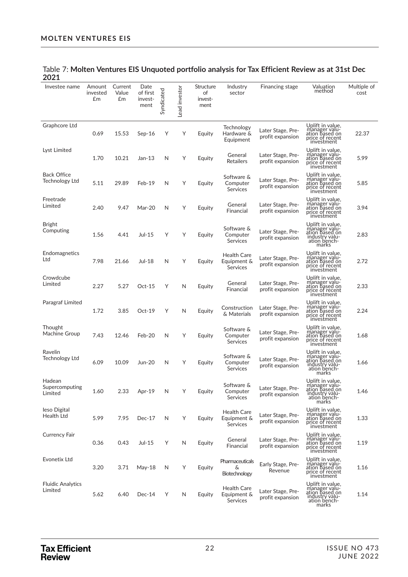| Investee name                        | Amount<br>invested<br>£m | Current<br>Value<br>£m | Date<br>of first<br>invest-<br>ment | Syndicated | Lead investor | Structure<br>of<br>invest-<br>ment | Industry<br>sector                                   | Financing stage                       | Valuation<br>method                                                                               | Multiple of<br>cost |
|--------------------------------------|--------------------------|------------------------|-------------------------------------|------------|---------------|------------------------------------|------------------------------------------------------|---------------------------------------|---------------------------------------------------------------------------------------------------|---------------------|
| Graphcore Ltd                        | 0.69                     | 15.53                  | $Sep-16$                            | Υ          | Υ             | Equity                             | Technology<br>Hardware &<br>Equipment                | Later Stage, Pre-<br>profit expansion | Uplift in value,<br>manager valu-<br>ation based on<br>price of recent<br>investment              | 22.37               |
| Lyst Limited                         | 1.70                     | 10.21                  | $Jan-13$                            | N          | Υ             | Equity                             | General<br><b>Retailers</b>                          | Later Stage, Pre-<br>profit expansion | Uplift in value,<br>manager valu-<br>ation based on<br>price of recent<br>investment              | 5.99                |
| <b>Back Office</b><br>Technology Ltd | 5.11                     | 29.89                  | Feb-19                              | N          | Υ             | Equity                             | Software &<br>Computer<br><b>Services</b>            | Later Stage, Pre-<br>profit expansion | Uplift in value,<br>manager valu-<br>ation based on<br>price of recent<br>investment              | 5.85                |
| Freetrade<br>Limited                 | 2.40                     | 9.47                   | Mar-20                              | N          | Υ             | Equity                             | General<br>Financial                                 | Later Stage, Pre-<br>profit expansion | Uplift in value,<br>manager valu-<br>ation based on<br>price of recent<br>investment              | 3.94                |
| <b>Bright</b><br>Computing           | 1.56                     | 4.41                   | Jul-15                              | Υ          | Υ             | Equity                             | Software &<br>Computer<br><b>Services</b>            | Later Stage, Pre-<br>profit expansion | Uplift in value,<br>manager valu-<br>ation based on<br>industry valu-<br>ation bench-<br>marks    | 2.83                |
| Endomagnetics<br>Ltd                 | 7.98                     | 21.66                  | Jul-18                              | N          | Υ             | Equity                             | Health Care<br>Equipment &<br><b>Services</b>        | Later Stage, Pre-<br>profit expansion | Uplift in value,<br>manager valu-<br>ation based on<br>price of recent<br>investment              | 2.72                |
| Crowdcube<br>Limited                 | 2.27                     | 5.27                   | $Oct-15$                            | Υ          | N             | Equity                             | General<br>Financial                                 | Later Stage, Pre-<br>profit expansion | Uplift in value,<br>manager valu-<br>ation based on<br>price of recent<br>investment              | 2.33                |
| Paragraf Limited                     | 1.72                     | 3.85                   | $Oct-19$                            | Υ          | N             | Equity                             | Construction<br>& Materials                          | Later Stage, Pre-<br>profit expansion | Uplift in value,<br>manager valu-<br>ation based on<br>price of recent<br>investment              | 2.24                |
| Thought<br>Machine Group             | 7.43                     | 12.46                  | Feb-20                              | N          | Υ             | Equity                             | Software &<br>Computer<br><b>Services</b>            | Later Stage, Pre-<br>profit expansion | Uplift in value,<br>manager valu-<br>ation based on<br>price of recent<br>investment              | 1.68                |
| Ravelin<br>Technology Ltd            | 6.09                     | 10.09                  | Jun-20                              | N          | Υ             | Equity                             | Software &<br>Computer<br>Services                   | Later Stage, Pre-<br>profit expansion | Uplift in value,<br>manager valu-<br>ation based on<br>industry valu-<br>ation bench-<br>marks    | 1.66                |
| Hadean<br>Supercomputing<br>Limited  | 1.60                     | 2.33                   | Apr-19                              | N          | Υ             | Equity                             | Software &<br>Computer<br><b>Services</b>            | Later Stage, Pre-<br>profit expansion | Uplift in value,<br>manager valu-<br>ation based on<br>industry valu-<br>ation bench-<br>marks    | 1.46                |
| leso Digital<br>Health Ltd           | 5.99                     | 7.95                   | $Dec-17$                            | N          | Υ             | Equity                             | <b>Health Care</b><br>Equipment &<br><b>Services</b> | Later Stage, Pre-<br>profit expansion | Uplift in value,<br>manager valu-<br>ation based on<br>price of recent<br>investment              | 1.33                |
| Currency Fair                        | 0.36                     | 0.43                   | Jul-15                              | Υ          | N             | Equity                             | General<br>Financial                                 | Later Stage, Pre-<br>profit expansion | Uplift in value,<br>manager valu-<br>ation based on<br>price of recent<br>investment              | 1.19                |
| <b>Evonetix Ltd</b>                  | 3.20                     | 3.71                   | May-18                              | N          | Υ             | Equity                             | Pharmaceuticals<br>&<br>Biotechnology                | Early Stage, Pre-<br>Revenue          | Uplift in value,<br>manager valu-<br>ation based on<br>price of recent<br>investment              | 1.16                |
| <b>Fluidic Analytics</b><br>Limited  | 5.62                     | 6.40                   | $Dec-14$                            | Υ          | N             | Equity                             | Health Care<br>Equipment &<br><b>Services</b>        | Later Stage, Pre-<br>profit expansion | Uplift in value,<br>manager<br>valu-<br>ation based on<br>industry valu-<br>ation bench-<br>marks | 1.14                |

#### Table 7: **Molten Ventures EIS Unquoted portfolio analysis for Tax Efficient Review as at 31st Dec 2021**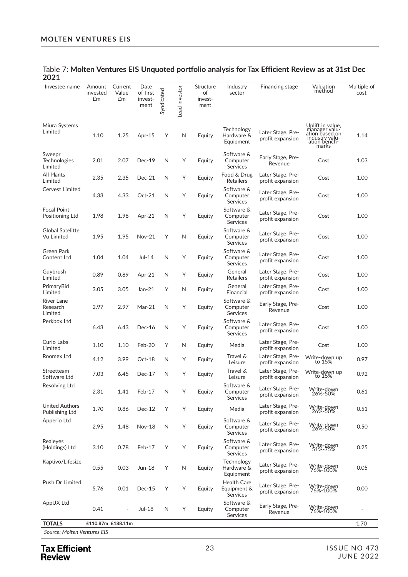| Investee name                            | Amount<br>invested<br>Em | Current<br>Value<br>Em   | Date<br>of first<br>invest-<br>ment | Syndicated | Lead investor | Structure<br>of<br>invest-<br>ment | Industry<br>sector                        | Financing stage                       | Valuation<br>method                                                                            | Multiple of<br>cost |
|------------------------------------------|--------------------------|--------------------------|-------------------------------------|------------|---------------|------------------------------------|-------------------------------------------|---------------------------------------|------------------------------------------------------------------------------------------------|---------------------|
| Miura Systems<br>Limited                 | 1.10                     | 1.25                     | Apr-15                              | Υ          | N             | Equity                             | Technology<br>Hardware &<br>Equipment     | Later Stage, Pre-<br>profit expansion | Uplift in value,<br>manager valu-<br>ation based on<br>industry valu-<br>ation bench-<br>marks | 1.14                |
| Sweepr<br>Technologies<br>Limited        | 2.01                     | 2.07                     | Dec-19                              | N          | Υ             | Equity                             | Software &<br>Computer<br>Services        | Early Stage, Pre-<br>Revenue          | Cost                                                                                           | 1.03                |
| All Plants<br>Limited                    | 2.35                     | 2.35                     | $Dec-21$                            | N          | Υ             | Equity                             | Food & Drug<br><b>Retailers</b>           | Later Stage, Pre-<br>profit expansion | Cost                                                                                           | 1.00                |
| Cervest Limited                          | 4.33                     | 4.33                     | $Oct-21$                            | N          | Υ             | Equity                             | Software &<br>Computer<br><b>Services</b> | Later Stage, Pre-<br>profit expansion | Cost                                                                                           | 1.00                |
| <b>Focal Point</b><br>Positioning Ltd    | 1.98                     | 1.98                     | Apr-21                              | N          | Υ             | Equity                             | Software &<br>Computer<br>Services        | Later Stage, Pre-<br>profit expansion | Cost                                                                                           | 1.00                |
| <b>Global Satelitte</b><br>Vu Limited    | 1.95                     | 1.95                     | <b>Nov-21</b>                       | Υ          | N             | Equity                             | Software &<br>Computer<br><b>Services</b> | Later Stage, Pre-<br>profit expansion | Cost                                                                                           | 1.00                |
| Green Park<br>Content Ltd                | 1.04                     | 1.04                     | Jul-14                              | N          | Υ             | Equity                             | Software &<br>Computer<br>Services        | Later Stage, Pre-<br>profit expansion | Cost                                                                                           | 1.00                |
| Guybrush<br>Limited                      | 0.89                     | 0.89                     | Apr-21                              | N          | Υ             | Equity                             | General<br><b>Retailers</b>               | Later Stage, Pre-<br>profit expansion | Cost                                                                                           | 1.00                |
| PrimaryBid<br>Limited                    | 3.05                     | 3.05                     | $Jan-21$                            | Y          | N             | Equity                             | General<br>Financial                      | Later Stage, Pre-<br>profit expansion | Cost                                                                                           | 1.00                |
| <b>River Lane</b><br>Research<br>Limited | 2.97                     | 2.97                     | Mar-21                              | N          | Υ             | Equity                             | Software &<br>Computer<br>Services        | Early Stage, Pre-<br>Revenue          | Cost                                                                                           | 1.00                |
| Perkbox Ltd                              | 6.43                     | 6.43                     | Dec-16                              | N          | Υ             | Equity                             | Software &<br>Computer<br>Services        | Later Stage, Pre-<br>profit expansion | Cost                                                                                           | 1.00                |
| Curio Labs<br>Limited                    | 1.10                     | 1.10                     | Feb-20                              | Υ          | N             | Equity                             | Media                                     | Later Stage, Pre-<br>profit expansion | Cost                                                                                           | 1.00                |
| Roomex Ltd                               | 4.12                     | 3.99                     | Oct-18                              | N          | Υ             | Equity                             | Travel &<br>Leisure                       | Later Stage, Pre-<br>profit expansion | Write-down up<br>to 15%                                                                        | 0.97                |
| Streetteam<br>Software Ltd               | 7.03                     | 6.45                     | $Dec-17$                            | N          | Υ             | Equity                             | Travel &<br>Leisure                       | Later Stage, Pre-<br>profit expansion | Write-down up<br>to 15%                                                                        | 0.92                |
| Resolving Ltd                            | 2.31                     | 1.41                     | Feb-17                              | N          | Υ             | Equity                             | Software &<br>Computer<br>Services        | Later Stage, Pre-<br>profit expansion | Write-down<br>26%-50%                                                                          | 0.61                |
| <b>United Authors</b><br>Publishing Ltd  | 1.70                     | 0.86                     | Dec-12                              | Υ          | Υ             | Equity                             | Media                                     | Later Stage, Pre-<br>profit expansion | Write-down<br>26%-50%                                                                          | 0.51                |
| Apperio Ltd                              | 2.95                     | 1.48                     | Nov-18                              | N          | Υ             | Equity                             | Software &<br>Computer<br><b>Services</b> | Later Stage, Pre-<br>profit expansion | Write-down<br>26%-50%                                                                          | 0.50                |
| Realeyes<br>(Holdings) Ltd               | 3.10                     | 0.78                     | Feb-17                              | Υ          | Υ             | Equity                             | Software &<br>Computer<br>Services        | Later Stage, Pre-<br>profit expansion | Write-down<br>51%-75%                                                                          | 0.25                |
| Kaptivo/Lifesize                         | 0.55                     | 0.03                     | Jun-18                              | Υ          | $\mathsf{N}$  | Equity                             | Technology<br>Hardware &<br>Equipment     | Later Stage, Pre-<br>profit expansion | Write-down<br>76%-100%                                                                         | 0.05                |
| Push Dr Limited                          | 5.76                     | 0.01                     | $Dec-15$                            | Υ          | Υ             | Equity                             | Health Care<br>Equipment &<br>Services    | Later Stage, Pre-<br>profit expansion | Write-down<br>76%-100%                                                                         | 0.00                |
| AppUX Ltd                                | 0.41                     | $\overline{\phantom{a}}$ | <b>Jul-18</b>                       | N          | Υ             | Equity                             | Software &<br>Computer<br>Services        | Early Stage, Pre-<br>Revenue          | Write-down<br>76%-100%                                                                         | $\overline{a}$      |
| <b>TOTALS</b>                            | £110.87m £188.11m        |                          |                                     |            |               |                                    |                                           |                                       |                                                                                                | 1.70                |

#### Table 7: **Molten Ventures EIS Unquoted portfolio analysis for Tax Efficient Review as at 31st Dec 2021**

 *Source: Molten Ventures EIS*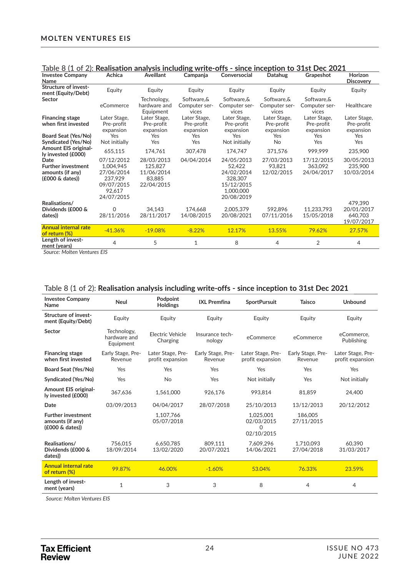| Table 8 (1 of 2). Realisation analysis including write-offs - since inception to 31st Dec 2021 |                                                                                        |                                                             |                                         |                                                                                        |                                         |                                         |                                         |
|------------------------------------------------------------------------------------------------|----------------------------------------------------------------------------------------|-------------------------------------------------------------|-----------------------------------------|----------------------------------------------------------------------------------------|-----------------------------------------|-----------------------------------------|-----------------------------------------|
| <b>Investee Company</b>                                                                        | Achica                                                                                 | Aveillant                                                   | Campanja                                | Conversocial                                                                           | Datahug                                 | Grapeshot                               | Horizon                                 |
| Name                                                                                           |                                                                                        |                                                             |                                         |                                                                                        |                                         |                                         | <b>Discovery</b>                        |
| Structure of invest-<br>ment (Equity/Debt)                                                     | Equity                                                                                 | Equity                                                      | Equity                                  | Equity                                                                                 | Equity                                  | Equity                                  | Equity                                  |
| Sector                                                                                         | eCommerce                                                                              | Technology,<br>hardware and<br>Equipment                    | Software.&<br>Computer ser-<br>vices    | Software.&<br>Computer ser-<br>vices                                                   | Software.&<br>Computer ser-<br>vices    | Software.&<br>Computer ser-<br>vices    | Healthcare                              |
| <b>Financing stage</b><br>when first invested                                                  | Later Stage,<br>Pre-profit<br>expansion                                                | Later Stage,<br>Pre-profit<br>expansion                     | Later Stage,<br>Pre-profit<br>expansion | Later Stage,<br>Pre-profit<br>expansion                                                | Later Stage,<br>Pre-profit<br>expansion | Later Stage,<br>Pre-profit<br>expansion | Later Stage,<br>Pre-profit<br>expansion |
| Board Seat (Yes/No)<br>Syndicated (Yes/No)<br>Amount EIS original-                             | Yes<br>Not initially                                                                   | Yes<br>Yes                                                  | Yes<br>Yes                              | Yes<br>Not initially                                                                   | Yes<br>No                               | Yes<br>Yes                              | Yes<br>Yes                              |
| ly invested (£000)                                                                             | 655,115                                                                                | 174,761                                                     | 307,478                                 | 174,747                                                                                | 371,576                                 | 999,999                                 | 235,900                                 |
| Date<br><b>Further investment</b><br>amounts (if any)<br>(£000 & dates)                        | 07/12/2012<br>1.004.945<br>27/06/2014<br>237,929<br>09/07/2015<br>92,617<br>24/07/2015 | 28/03/2013<br>125,827<br>11/06/2014<br>83,885<br>22/04/2015 | 04/04/2014                              | 24/05/2013<br>52,422<br>24/02/2014<br>328,307<br>15/12/2015<br>1,000,000<br>20/08/2019 | 27/03/2013<br>93,821<br>12/02/2015      | 17/12/2015<br>363.092<br>24/04/2017     | 30/05/2013<br>235,900<br>10/03/2014     |
| Realisations/<br>Dividends (£000 &<br>dates))                                                  | 0<br>28/11/2016                                                                        | 34,143<br>28/11/2017                                        | 174.668<br>14/08/2015                   | 2,005,379<br>20/08/2021                                                                | 592.896<br>07/11/2016                   | 11,233,793<br>15/05/2018                | 479,390<br>20/01/2017<br>640,703        |
| <b>Annual internal rate</b>                                                                    |                                                                                        |                                                             |                                         |                                                                                        |                                         |                                         | 19/07/2017                              |
| of return (%)                                                                                  | $-41.36%$                                                                              | $-19.08%$                                                   | $-8.22%$                                | 12.17%                                                                                 | 13.55%                                  | 79.62%                                  | 27.57%                                  |
| Length of invest-<br>ment (years)                                                              | 4                                                                                      | 5                                                           | 1                                       | 8                                                                                      | 4                                       | 2                                       | 4                                       |

### Table 8 (1 of 2): **Realisation analysis including write-offs - since inception to 31st Dec 2021**

 *Source: Molten Ventures EIS*

#### Table 8 (1 of 2): **Realisation analysis including write-offs - since inception to 31st Dec 2021**

| <b>Investee Company</b><br>Name                                 | Neul                                     | Podpoint<br><b>Holdings</b>           | <b>IXL Premfina</b>          | <b>SportPursuit</b>                        | Taisco                       | <b>Unbound</b>                        |
|-----------------------------------------------------------------|------------------------------------------|---------------------------------------|------------------------------|--------------------------------------------|------------------------------|---------------------------------------|
| Structure of invest-<br>ment (Equity/Debt)                      | Equity                                   | Equity                                | Equity                       | Equity                                     | Equity                       | Equity                                |
| Sector                                                          | Technology,<br>hardware and<br>Equipment | Electric Vehicle<br>Charging          | Insurance tech-<br>nology    | eCommerce                                  | eCommerce                    | eCommerce.<br>Publishing              |
| <b>Financing stage</b><br>when first invested                   | Early Stage, Pre-<br>Revenue             | Later Stage, Pre-<br>profit expansion | Early Stage, Pre-<br>Revenue | Later Stage, Pre-<br>profit expansion      | Early Stage, Pre-<br>Revenue | Later Stage, Pre-<br>profit expansion |
| Board Seat (Yes/No)                                             | Yes                                      | Yes                                   | Yes                          | Yes                                        | Yes                          | Yes                                   |
| Syndicated (Yes/No)                                             | Yes                                      | <b>No</b>                             | Yes                          | Not initially                              | Yes                          | Not initially                         |
| Amount EIS original-<br>ly invested (£000)                      | 367,636                                  | 1,561,000                             | 926,176                      | 993.814                                    | 81,859                       | 24,400                                |
| Date                                                            | 03/09/2013                               | 04/04/2017                            | 28/07/2018                   | 25/10/2013                                 | 13/12/2013                   | 20/12/2012                            |
| <b>Further investment</b><br>amounts (if any)<br>(£000 & dates) |                                          | 1,107,766<br>05/07/2018               |                              | 1,025,001<br>02/03/2015<br>∩<br>02/10/2015 | 186,005<br>27/11/2015        |                                       |
| Realisations/<br>Dividends (£000 &<br>dates))                   | 756.015<br>18/09/2014                    | 6,650,785<br>13/02/2020               | 809.111<br>20/07/2021        | 7.609.296<br>14/06/2021                    | 1.710.093<br>27/04/2018      | 60.390<br>31/03/2017                  |
| <b>Annual internal rate</b><br>of return (%)                    | 99.87%                                   | 46.00%                                | $-1.60%$                     | 53.04%                                     | 76.33%                       | 23.59%                                |
| Length of invest-<br>ment (years)                               | $\mathbf{1}$                             | 3                                     | 3                            | 8                                          | 4                            | $\overline{4}$                        |
|                                                                 |                                          |                                       |                              |                                            |                              |                                       |

 *Source: Molten Ventures EIS*